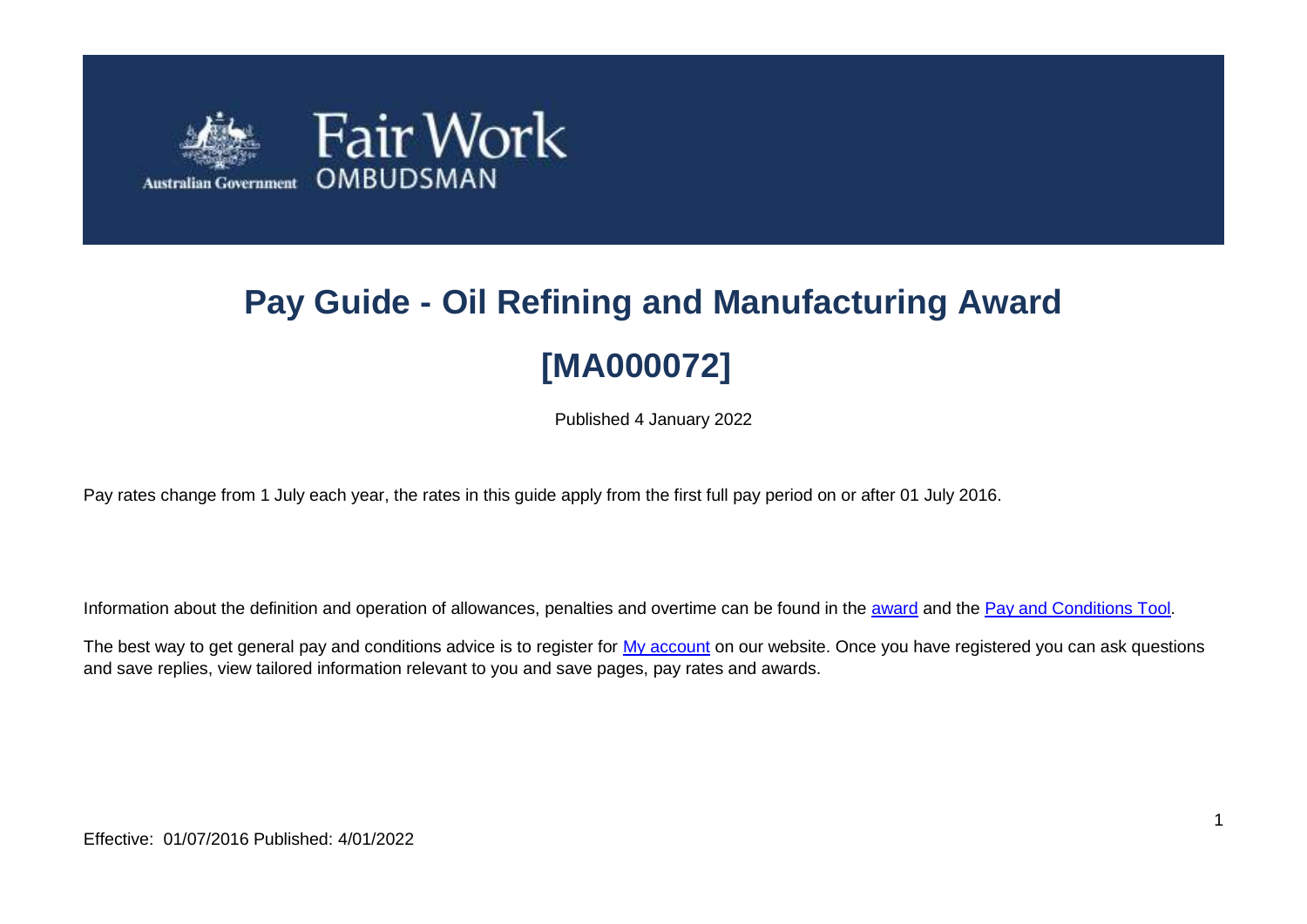

# **Pay Guide - Oil Refining and Manufacturing Award [MA000072]**

Published 4 January 2022

Pay rates change from 1 July each year, the rates in this guide apply from the first full pay period on or after 01 July 2016.

Information about the definition and operation of allowances, penalties and overtime can be found in the [award](https://www.fairwork.gov.au/awards-and-agreements/awards/list-of-awards) and the [Pay and Conditions Tool.](https://calculate.fairwork.gov.au/)

The best way to get general pay and conditions advice is to register for [My account](https://www.fairwork.gov.au/my-account/registerpage.aspx) on our website. Once you have registered you can ask questions and save replies, view tailored information relevant to you and save pages, pay rates and awards.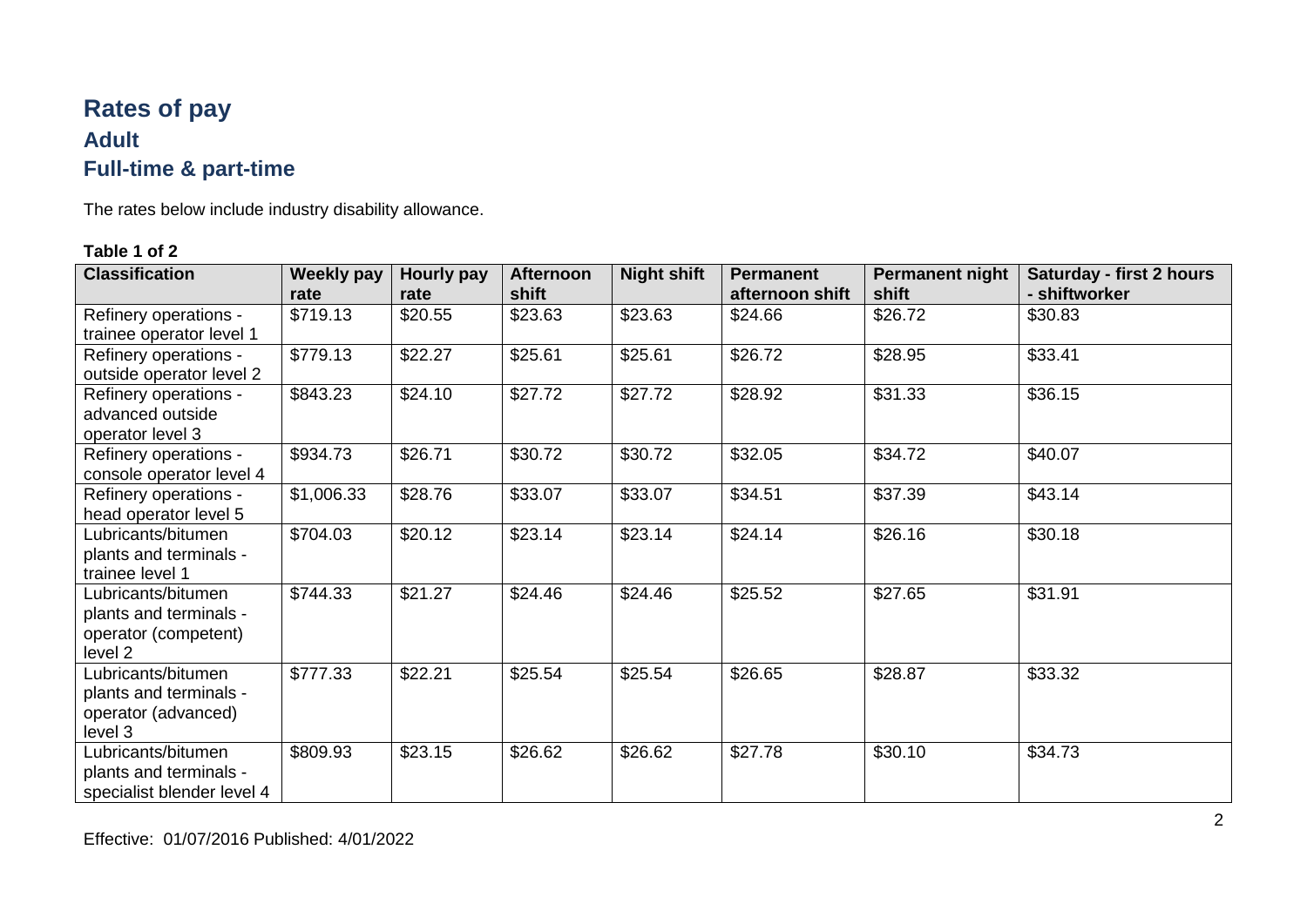# **Rates of pay Adult Full-time & part-time**

The rates below include industry disability allowance.

| <b>Classification</b>                                                           | <b>Weekly pay</b><br>rate | Hourly pay<br>rate | <b>Afternoon</b><br>shift | <b>Night shift</b> | <b>Permanent</b><br>afternoon shift | <b>Permanent night</b><br>shift | <b>Saturday - first 2 hours</b><br>- shiftworker |
|---------------------------------------------------------------------------------|---------------------------|--------------------|---------------------------|--------------------|-------------------------------------|---------------------------------|--------------------------------------------------|
| Refinery operations -<br>trainee operator level 1                               | \$719.13                  | \$20.55            | \$23.63                   | \$23.63            | \$24.66                             | \$26.72                         | \$30.83                                          |
| Refinery operations -<br>outside operator level 2                               | \$779.13                  | \$22.27            | \$25.61                   | \$25.61            | \$26.72                             | \$28.95                         | \$33.41                                          |
| Refinery operations -<br>advanced outside<br>operator level 3                   | \$843.23                  | \$24.10            | \$27.72                   | \$27.72            | \$28.92                             | \$31.33                         | \$36.15                                          |
| Refinery operations -<br>console operator level 4                               | \$934.73                  | \$26.71            | \$30.72                   | \$30.72            | \$32.05                             | \$34.72                         | \$40.07                                          |
| Refinery operations -<br>head operator level 5                                  | \$1,006.33                | \$28.76            | \$33.07                   | \$33.07            | \$34.51                             | \$37.39                         | \$43.14                                          |
| Lubricants/bitumen<br>plants and terminals -<br>trainee level 1                 | \$704.03                  | \$20.12            | \$23.14                   | \$23.14            | \$24.14                             | \$26.16                         | \$30.18                                          |
| Lubricants/bitumen<br>plants and terminals -<br>operator (competent)<br>level 2 | \$744.33                  | \$21.27            | \$24.46                   | \$24.46            | \$25.52                             | \$27.65                         | \$31.91                                          |
| Lubricants/bitumen<br>plants and terminals -<br>operator (advanced)<br>level 3  | \$777.33                  | \$22.21            | \$25.54                   | \$25.54            | \$26.65                             | \$28.87                         | \$33.32                                          |
| Lubricants/bitumen<br>plants and terminals -<br>specialist blender level 4      | \$809.93                  | \$23.15            | \$26.62                   | \$26.62            | \$27.78                             | \$30.10                         | \$34.73                                          |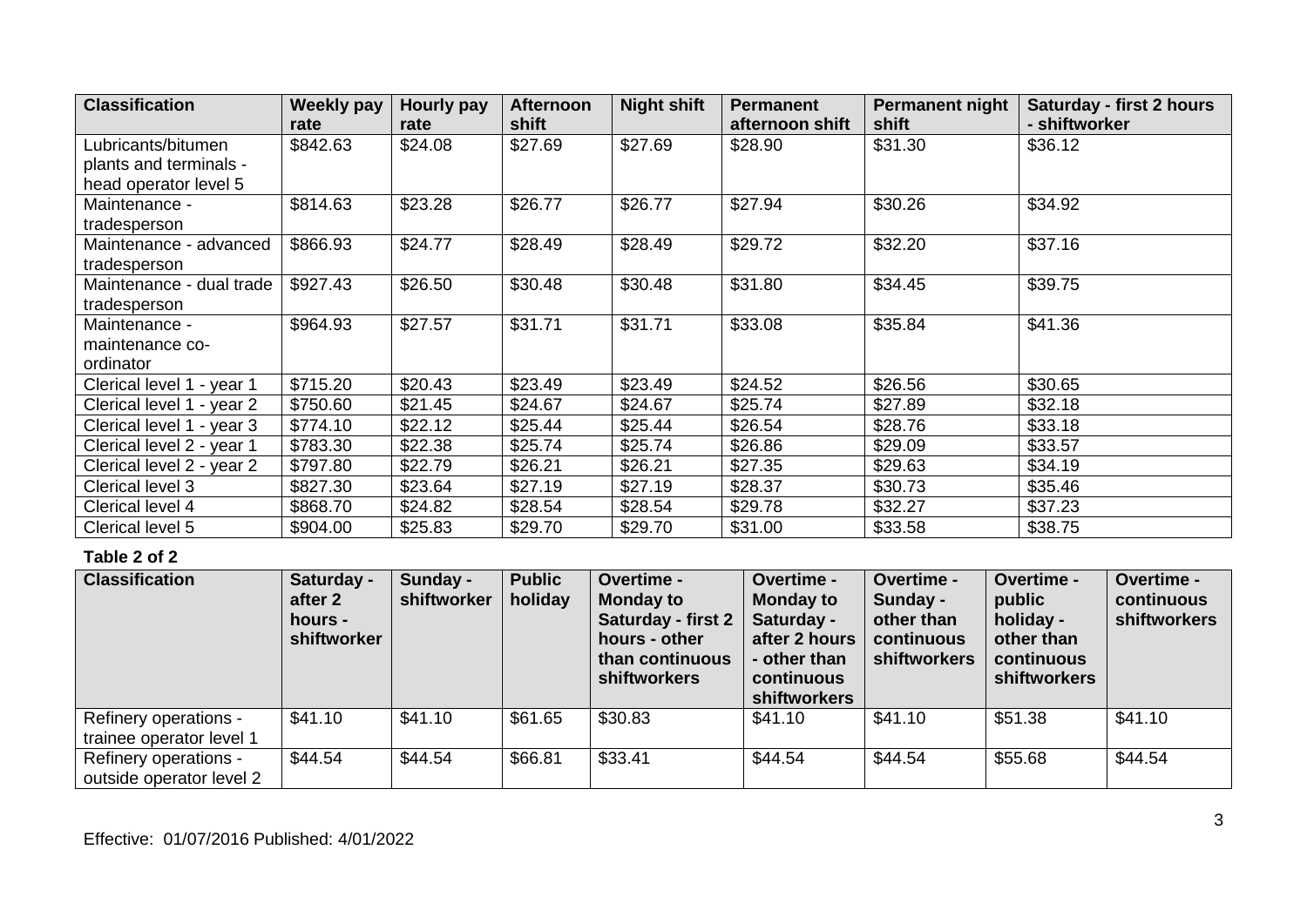| <b>Classification</b>     | <b>Weekly pay</b> | Hourly pay | <b>Afternoon</b> | <b>Night shift</b> | <b>Permanent</b> | Permanent night | <b>Saturday - first 2 hours</b> |
|---------------------------|-------------------|------------|------------------|--------------------|------------------|-----------------|---------------------------------|
|                           | rate              | rate       | shift            |                    | afternoon shift  | shift           | - shiftworker                   |
| Lubricants/bitumen        | \$842.63          | \$24.08    | \$27.69          | \$27.69            | \$28.90          | \$31.30         | \$36.12                         |
| plants and terminals -    |                   |            |                  |                    |                  |                 |                                 |
| head operator level 5     |                   |            |                  |                    |                  |                 |                                 |
| Maintenance -             | \$814.63          | \$23.28    | \$26.77          | \$26.77            | \$27.94          | \$30.26         | \$34.92                         |
| tradesperson              |                   |            |                  |                    |                  |                 |                                 |
| Maintenance - advanced    | \$866.93          | \$24.77    | \$28.49          | \$28.49            | \$29.72          | \$32.20         | \$37.16                         |
| tradesperson              |                   |            |                  |                    |                  |                 |                                 |
| Maintenance - dual trade  | \$927.43          | \$26.50    | \$30.48          | \$30.48            | \$31.80          | \$34.45         | \$39.75                         |
| tradesperson              |                   |            |                  |                    |                  |                 |                                 |
| Maintenance -             | \$964.93          | \$27.57    | \$31.71          | \$31.71            | \$33.08          | \$35.84         | \$41.36                         |
| maintenance co-           |                   |            |                  |                    |                  |                 |                                 |
| ordinator                 |                   |            |                  |                    |                  |                 |                                 |
| Clerical level 1 - year 1 | \$715.20          | \$20.43    | \$23.49          | \$23.49            | \$24.52          | \$26.56         | \$30.65                         |
| Clerical level 1 - year 2 | \$750.60          | \$21.45    | \$24.67          | \$24.67            | \$25.74          | \$27.89         | \$32.18                         |
| Clerical level 1 - year 3 | \$774.10          | \$22.12    | \$25.44          | \$25.44            | \$26.54          | \$28.76         | \$33.18                         |
| Clerical level 2 - year 1 | \$783.30          | \$22.38    | \$25.74          | \$25.74            | \$26.86          | \$29.09         | \$33.57                         |
| Clerical level 2 - year 2 | \$797.80          | \$22.79    | \$26.21          | \$26.21            | \$27.35          | \$29.63         | \$34.19                         |
| Clerical level 3          | \$827.30          | \$23.64    | \$27.19          | \$27.19            | \$28.37          | \$30.73         | \$35.46                         |
| Clerical level 4          | \$868.70          | \$24.82    | \$28.54          | \$28.54            | \$29.78          | \$32.27         | \$37.23                         |
| Clerical level 5          | \$904.00          | \$25.83    | \$29.70          | \$29.70            | \$31.00          | \$33.58         | \$38.75                         |

| <b>Classification</b>                             | Saturday -<br>after 2<br>hours -<br>shiftworker | Sunday -<br>shiftworker | <b>Public</b><br>holiday | Overtime -<br><b>Monday to</b><br><b>Saturday - first 2</b><br>hours - other<br>than continuous<br><b>shiftworkers</b> | Overtime -<br><b>Monday to</b><br>Saturday -<br>after 2 hours<br>- other than<br>continuous<br><b>shiftworkers</b> | Overtime -<br>Sunday -<br>other than<br>continuous<br>shiftworkers | Overtime -<br>public<br>holiday -<br>other than<br>continuous<br><b>shiftworkers</b> | Overtime -<br>continuous<br>shiftworkers |
|---------------------------------------------------|-------------------------------------------------|-------------------------|--------------------------|------------------------------------------------------------------------------------------------------------------------|--------------------------------------------------------------------------------------------------------------------|--------------------------------------------------------------------|--------------------------------------------------------------------------------------|------------------------------------------|
| Refinery operations -<br>trainee operator level 1 | \$41.10                                         | \$41.10                 | \$61.65                  | \$30.83                                                                                                                | \$41.10                                                                                                            | \$41.10                                                            | \$51.38                                                                              | \$41.10                                  |
| Refinery operations -<br>outside operator level 2 | \$44.54                                         | \$44.54                 | \$66.81                  | \$33.41                                                                                                                | \$44.54                                                                                                            | \$44.54                                                            | \$55.68                                                                              | \$44.54                                  |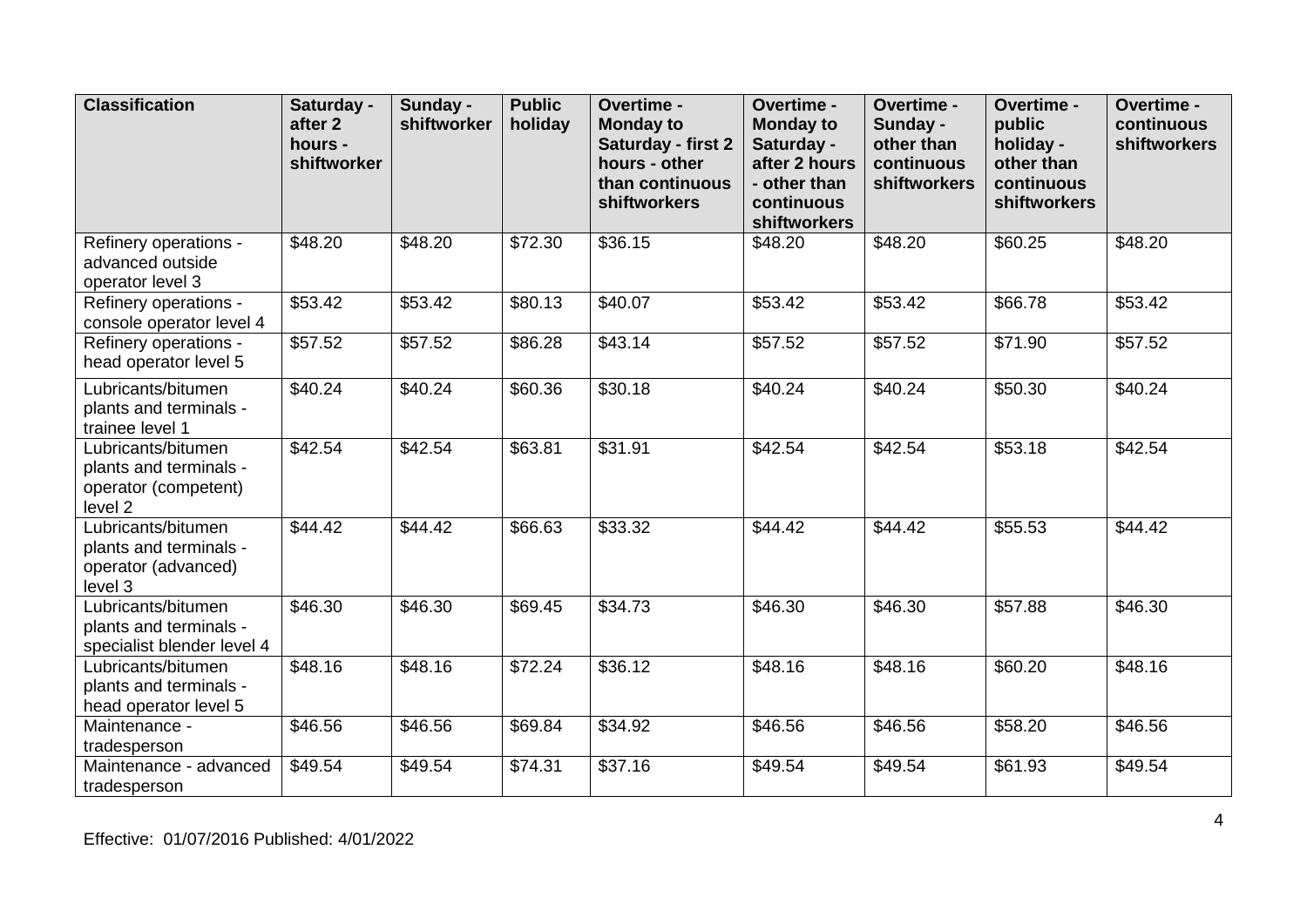| <b>Classification</b>                                                                      | Saturday -<br>after <sub>2</sub><br>hours -<br>shiftworker | Sunday -<br>shiftworker | <b>Public</b><br>holiday | Overtime -<br><b>Monday to</b><br><b>Saturday - first 2</b><br>hours - other<br>than continuous<br>shiftworkers | Overtime -<br><b>Monday to</b><br>Saturday -<br>after 2 hours<br>- other than<br>continuous<br>shiftworkers | Overtime -<br>Sunday -<br>other than<br>continuous<br>shiftworkers | Overtime -<br>public<br>holiday -<br>other than<br>continuous<br>shiftworkers | Overtime -<br>continuous<br>shiftworkers |
|--------------------------------------------------------------------------------------------|------------------------------------------------------------|-------------------------|--------------------------|-----------------------------------------------------------------------------------------------------------------|-------------------------------------------------------------------------------------------------------------|--------------------------------------------------------------------|-------------------------------------------------------------------------------|------------------------------------------|
| Refinery operations -<br>advanced outside<br>operator level 3                              | \$48.20                                                    | \$48.20                 | \$72.30                  | \$36.15                                                                                                         | \$48.20                                                                                                     | \$48.20                                                            | \$60.25                                                                       | \$48.20                                  |
| Refinery operations -<br>console operator level 4                                          | \$53.42                                                    | \$53.42                 | \$80.13                  | \$40.07                                                                                                         | \$53.42                                                                                                     | \$53.42                                                            | \$66.78                                                                       | \$53.42                                  |
| Refinery operations -<br>head operator level 5                                             | \$57.52                                                    | \$57.52                 | \$86.28                  | \$43.14                                                                                                         | \$57.52                                                                                                     | \$57.52                                                            | \$71.90                                                                       | \$57.52                                  |
| Lubricants/bitumen<br>plants and terminals -<br>trainee level 1                            | \$40.24                                                    | \$40.24                 | \$60.36                  | \$30.18                                                                                                         | \$40.24                                                                                                     | \$40.24                                                            | \$50.30                                                                       | \$40.24                                  |
| Lubricants/bitumen<br>plants and terminals -<br>operator (competent)<br>level <sub>2</sub> | \$42.54                                                    | \$42.54                 | \$63.81                  | \$31.91                                                                                                         | \$42.54                                                                                                     | \$42.54                                                            | \$53.18                                                                       | \$42.54                                  |
| Lubricants/bitumen<br>plants and terminals -<br>operator (advanced)<br>level 3             | \$44.42                                                    | \$44.42                 | \$66.63                  | \$33.32                                                                                                         | \$44.42                                                                                                     | \$44.42                                                            | \$55.53                                                                       | \$44.42                                  |
| Lubricants/bitumen<br>plants and terminals -<br>specialist blender level 4                 | \$46.30                                                    | \$46.30                 | \$69.45                  | \$34.73                                                                                                         | \$46.30                                                                                                     | \$46.30                                                            | \$57.88                                                                       | \$46.30                                  |
| Lubricants/bitumen<br>plants and terminals -<br>head operator level 5                      | \$48.16                                                    | \$48.16                 | \$72.24                  | \$36.12                                                                                                         | \$48.16                                                                                                     | \$48.16                                                            | \$60.20                                                                       | \$48.16                                  |
| Maintenance -<br>tradesperson                                                              | \$46.56                                                    | \$46.56                 | \$69.84                  | \$34.92                                                                                                         | \$46.56                                                                                                     | \$46.56                                                            | \$58.20                                                                       | \$46.56                                  |
| Maintenance - advanced<br>tradesperson                                                     | \$49.54                                                    | \$49.54                 | \$74.31                  | \$37.16                                                                                                         | \$49.54                                                                                                     | \$49.54                                                            | \$61.93                                                                       | \$49.54                                  |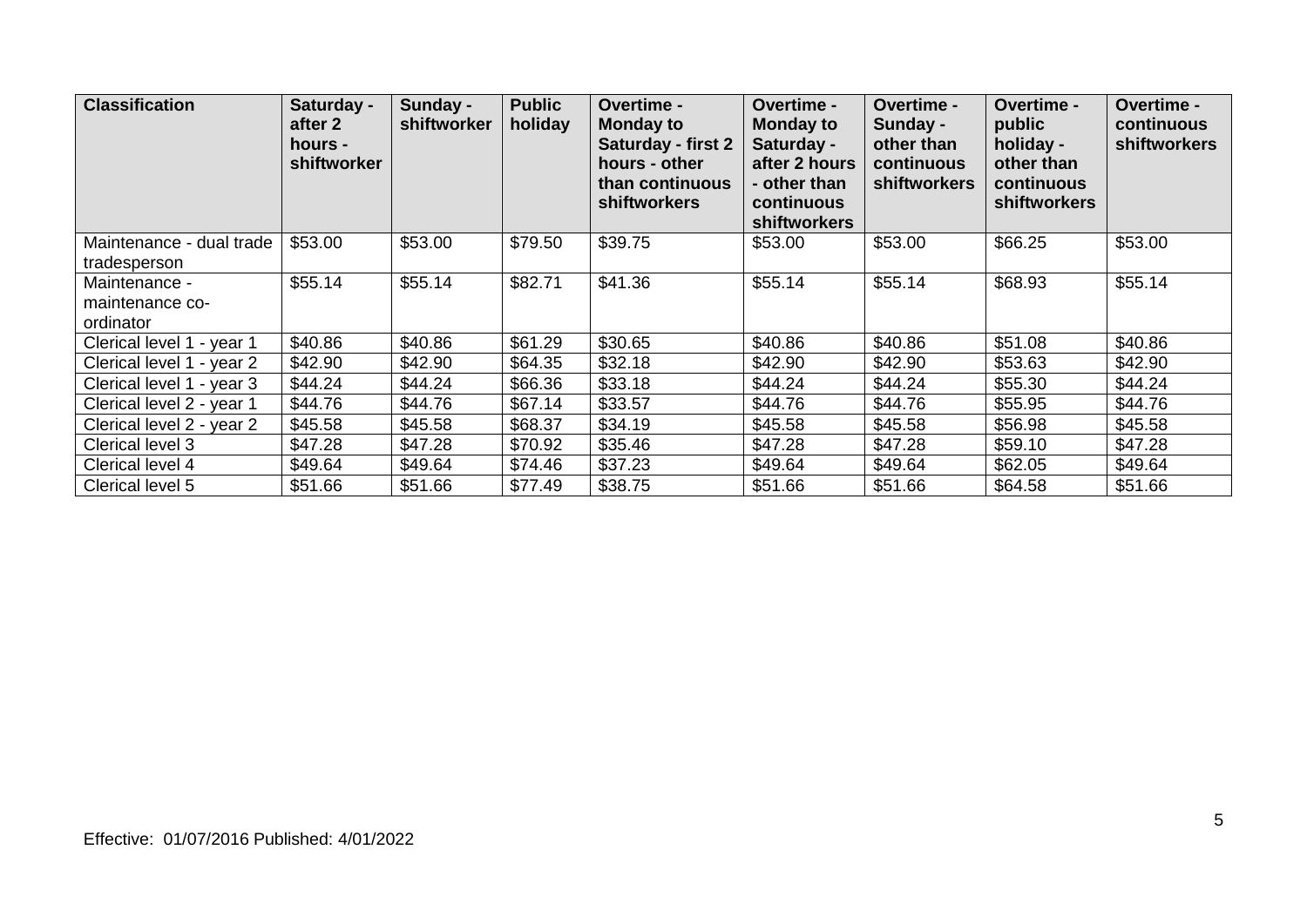| <b>Classification</b>                         | Saturday -<br>after 2<br>hours -<br>shiftworker | Sunday -<br>shiftworker | <b>Public</b><br>holiday | <b>Overtime -</b><br><b>Monday to</b><br><b>Saturday - first 2</b><br>hours - other<br>than continuous<br><b>shiftworkers</b> | <b>Overtime -</b><br><b>Monday to</b><br>Saturday -<br>after 2 hours<br>- other than<br>continuous<br><b>shiftworkers</b> | Overtime -<br>Sunday -<br>other than<br>continuous<br>shiftworkers | Overtime -<br>public<br>holiday -<br>other than<br>continuous<br><b>shiftworkers</b> | <b>Overtime -</b><br>continuous<br><b>shiftworkers</b> |
|-----------------------------------------------|-------------------------------------------------|-------------------------|--------------------------|-------------------------------------------------------------------------------------------------------------------------------|---------------------------------------------------------------------------------------------------------------------------|--------------------------------------------------------------------|--------------------------------------------------------------------------------------|--------------------------------------------------------|
| Maintenance - dual trade<br>tradesperson      | \$53.00                                         | \$53.00                 | \$79.50                  | \$39.75                                                                                                                       | \$53.00                                                                                                                   | \$53.00                                                            | \$66.25                                                                              | \$53.00                                                |
| Maintenance -<br>maintenance co-<br>ordinator | \$55.14                                         | \$55.14                 | \$82.71                  | \$41.36                                                                                                                       | \$55.14                                                                                                                   | \$55.14                                                            | \$68.93                                                                              | \$55.14                                                |
| Clerical level 1 - year 1                     | \$40.86                                         | \$40.86                 | \$61.29                  | \$30.65                                                                                                                       | \$40.86                                                                                                                   | \$40.86                                                            | \$51.08                                                                              | \$40.86                                                |
| Clerical level 1 - year 2                     | \$42.90                                         | \$42.90                 | \$64.35                  | \$32.18                                                                                                                       | \$42.90                                                                                                                   | \$42.90                                                            | \$53.63                                                                              | \$42.90                                                |
| Clerical level 1 - year 3                     | \$44.24                                         | \$44.24                 | \$66.36                  | \$33.18                                                                                                                       | \$44.24                                                                                                                   | \$44.24                                                            | \$55.30                                                                              | \$44.24                                                |
| Clerical level 2 - year 1                     | \$44.76                                         | \$44.76                 | \$67.14                  | \$33.57                                                                                                                       | \$44.76                                                                                                                   | \$44.76                                                            | \$55.95                                                                              | \$44.76                                                |
| Clerical level 2 - year 2                     | \$45.58                                         | \$45.58                 | \$68.37                  | \$34.19                                                                                                                       | \$45.58                                                                                                                   | \$45.58                                                            | \$56.98                                                                              | \$45.58                                                |
| Clerical level 3                              | \$47.28                                         | \$47.28                 | \$70.92                  | \$35.46                                                                                                                       | \$47.28                                                                                                                   | \$47.28                                                            | \$59.10                                                                              | \$47.28                                                |
| Clerical level 4                              | \$49.64                                         | \$49.64                 | \$74.46                  | \$37.23                                                                                                                       | \$49.64                                                                                                                   | \$49.64                                                            | \$62.05                                                                              | \$49.64                                                |
| Clerical level 5                              | \$51.66                                         | \$51.66                 | \$77.49                  | \$38.75                                                                                                                       | \$51.66                                                                                                                   | \$51.66                                                            | \$64.58                                                                              | \$51.66                                                |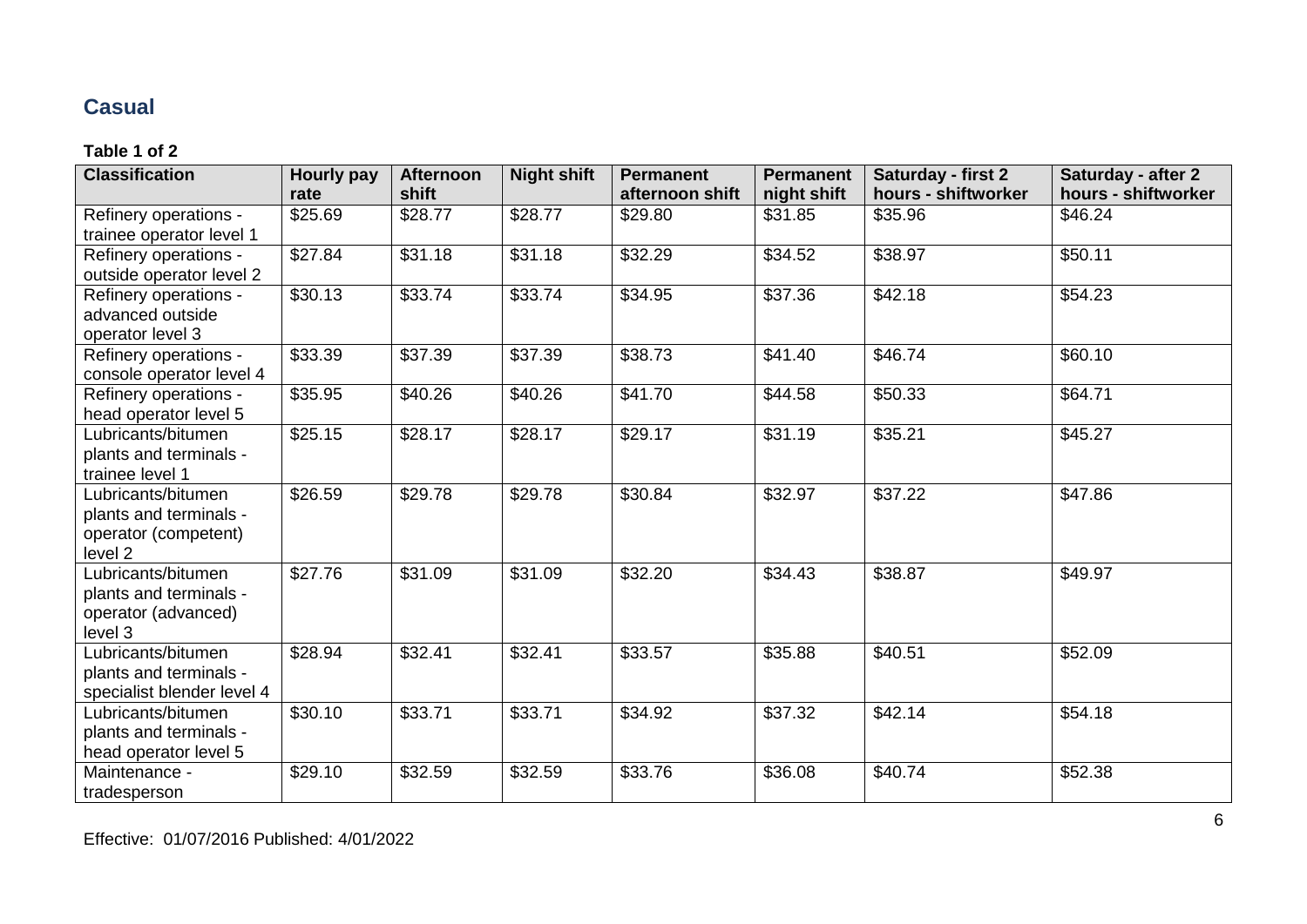## **Casual**

| <b>Classification</b>      | <b>Hourly pay</b> | <b>Afternoon</b><br>shift | <b>Night shift</b> | <b>Permanent</b> | <b>Permanent</b> | <b>Saturday - first 2</b> | <b>Saturday - after 2</b> |
|----------------------------|-------------------|---------------------------|--------------------|------------------|------------------|---------------------------|---------------------------|
|                            | rate              |                           |                    | afternoon shift  | night shift      | hours - shiftworker       | hours - shiftworker       |
| Refinery operations -      | \$25.69           | \$28.77                   | \$28.77            | \$29.80          | \$31.85          | \$35.96                   | \$46.24                   |
| trainee operator level 1   |                   |                           |                    |                  |                  |                           |                           |
| Refinery operations -      | \$27.84           | \$31.18                   | \$31.18            | \$32.29          | \$34.52          | \$38.97                   | \$50.11                   |
| outside operator level 2   |                   |                           |                    |                  |                  |                           |                           |
| Refinery operations -      | \$30.13           | \$33.74                   | \$33.74            | \$34.95          | \$37.36          | \$42.18                   | \$54.23                   |
| advanced outside           |                   |                           |                    |                  |                  |                           |                           |
| operator level 3           |                   |                           |                    |                  |                  |                           |                           |
| Refinery operations -      | \$33.39           | \$37.39                   | \$37.39            | \$38.73          | \$41.40          | \$46.74                   | \$60.10                   |
| console operator level 4   |                   |                           |                    |                  |                  |                           |                           |
| Refinery operations -      | \$35.95           | \$40.26                   | \$40.26            | \$41.70          | \$44.58          | \$50.33                   | \$64.71                   |
| head operator level 5      |                   |                           |                    |                  |                  |                           |                           |
| Lubricants/bitumen         | \$25.15           | \$28.17                   | \$28.17            | \$29.17          | \$31.19          | \$35.21                   | \$45.27                   |
| plants and terminals -     |                   |                           |                    |                  |                  |                           |                           |
| trainee level 1            |                   |                           |                    |                  |                  |                           |                           |
| Lubricants/bitumen         | \$26.59           | \$29.78                   | \$29.78            | \$30.84          | \$32.97          | \$37.22                   | \$47.86                   |
| plants and terminals -     |                   |                           |                    |                  |                  |                           |                           |
| operator (competent)       |                   |                           |                    |                  |                  |                           |                           |
| level 2                    |                   |                           |                    |                  |                  |                           |                           |
| Lubricants/bitumen         | \$27.76           | \$31.09                   | \$31.09            | \$32.20          | \$34.43          | \$38.87                   | \$49.97                   |
| plants and terminals -     |                   |                           |                    |                  |                  |                           |                           |
| operator (advanced)        |                   |                           |                    |                  |                  |                           |                           |
| level 3                    |                   |                           |                    |                  |                  |                           |                           |
| Lubricants/bitumen         | \$28.94           | \$32.41                   | \$32.41            | \$33.57          | \$35.88          | \$40.51                   | \$52.09                   |
| plants and terminals -     |                   |                           |                    |                  |                  |                           |                           |
| specialist blender level 4 |                   |                           |                    |                  |                  |                           |                           |
| Lubricants/bitumen         | \$30.10           | \$33.71                   | \$33.71            | \$34.92          | \$37.32          | \$42.14                   | \$54.18                   |
| plants and terminals -     |                   |                           |                    |                  |                  |                           |                           |
| head operator level 5      |                   |                           |                    |                  |                  |                           |                           |
| Maintenance -              | \$29.10           | \$32.59                   | \$32.59            | \$33.76          | \$36.08          | \$40.74                   | \$52.38                   |
| tradesperson               |                   |                           |                    |                  |                  |                           |                           |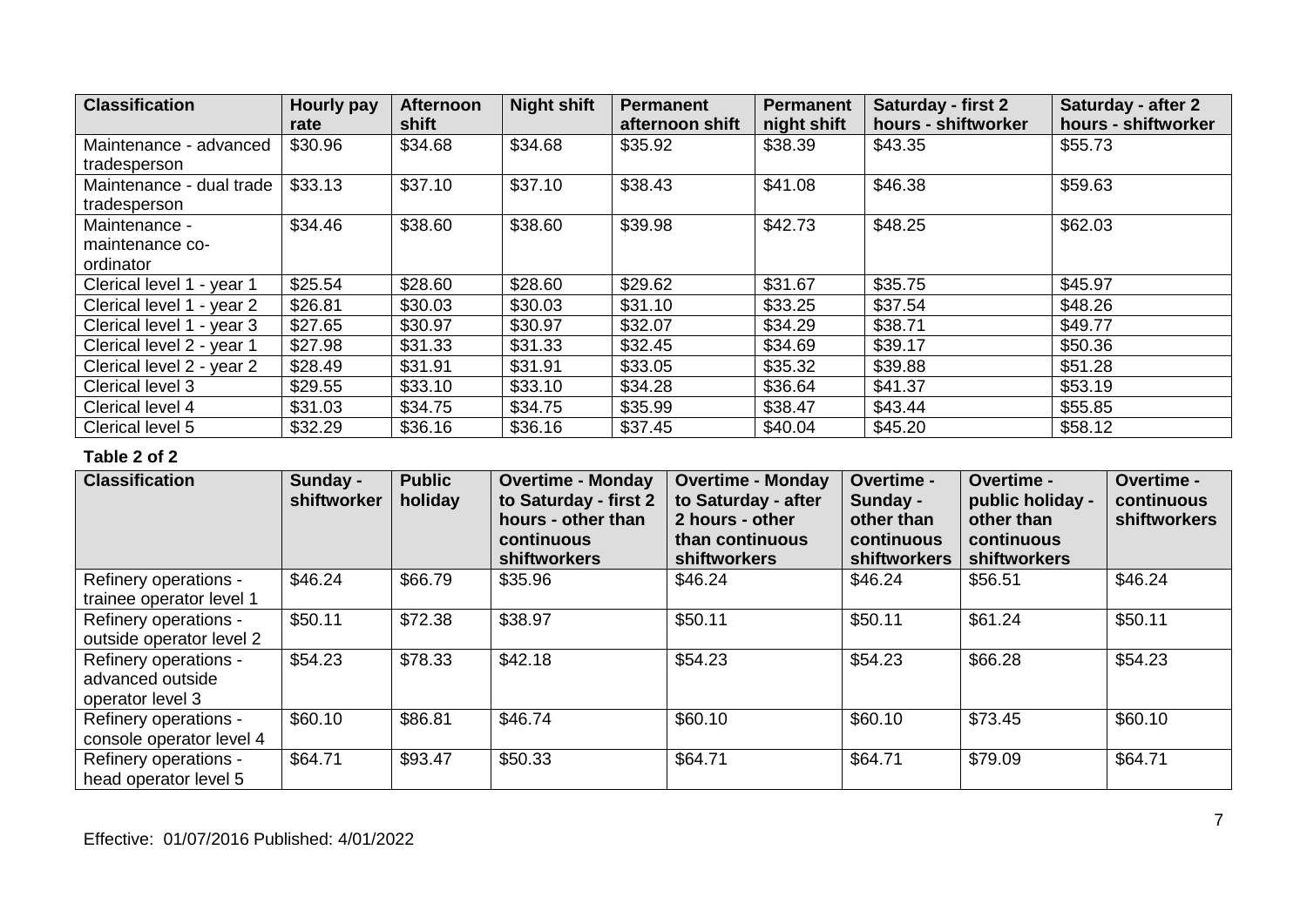| <b>Classification</b>     | Hourly pay | <b>Afternoon</b> | <b>Night shift</b> | <b>Permanent</b> | <b>Permanent</b> | <b>Saturday - first 2</b> | Saturday - after 2  |
|---------------------------|------------|------------------|--------------------|------------------|------------------|---------------------------|---------------------|
|                           | rate       | shift            |                    | afternoon shift  | night shift      | hours - shiftworker       | hours - shiftworker |
| Maintenance - advanced    | \$30.96    | \$34.68          | \$34.68            | \$35.92          | \$38.39          | \$43.35                   | \$55.73             |
| tradesperson              |            |                  |                    |                  |                  |                           |                     |
| Maintenance - dual trade  | \$33.13    | \$37.10          | \$37.10            | \$38.43          | \$41.08          | \$46.38                   | \$59.63             |
| tradesperson              |            |                  |                    |                  |                  |                           |                     |
| Maintenance -             | \$34.46    | \$38.60          | \$38.60            | \$39.98          | \$42.73          | \$48.25                   | \$62.03             |
| maintenance co-           |            |                  |                    |                  |                  |                           |                     |
| ordinator                 |            |                  |                    |                  |                  |                           |                     |
| Clerical level 1 - year 1 | \$25.54    | \$28.60          | \$28.60            | \$29.62          | \$31.67          | \$35.75                   | \$45.97             |
| Clerical level 1 - year 2 | \$26.81    | \$30.03          | \$30.03            | \$31.10          | \$33.25          | \$37.54                   | \$48.26             |
| Clerical level 1 - year 3 | \$27.65    | \$30.97          | \$30.97            | \$32.07          | \$34.29          | \$38.71                   | \$49.77             |
| Clerical level 2 - year 1 | \$27.98    | \$31.33          | \$31.33            | \$32.45          | \$34.69          | \$39.17                   | \$50.36             |
| Clerical level 2 - year 2 | \$28.49    | \$31.91          | \$31.91            | \$33.05          | \$35.32          | \$39.88                   | \$51.28             |
| Clerical level 3          | \$29.55    | \$33.10          | \$33.10            | \$34.28          | \$36.64          | \$41.37                   | \$53.19             |
| Clerical level 4          | \$31.03    | \$34.75          | \$34.75            | \$35.99          | \$38.47          | \$43.44                   | \$55.85             |
| Clerical level 5          | \$32.29    | \$36.16          | \$36.16            | \$37.45          | \$40.04          | \$45.20                   | \$58.12             |

| <b>Classification</b>                                         | Sunday -<br>shiftworker | <b>Public</b><br>holiday | <b>Overtime - Monday</b><br>to Saturday - first 2<br>hours - other than<br>continuous<br>shiftworkers | <b>Overtime - Monday</b><br>to Saturday - after<br>2 hours - other<br>than continuous<br>shiftworkers | Overtime -<br>Sunday -<br>other than<br>continuous<br>shiftworkers | <b>Overtime -</b><br>public holiday -<br>other than<br>continuous<br>shiftworkers | <b>Overtime -</b><br>continuous<br>shiftworkers |
|---------------------------------------------------------------|-------------------------|--------------------------|-------------------------------------------------------------------------------------------------------|-------------------------------------------------------------------------------------------------------|--------------------------------------------------------------------|-----------------------------------------------------------------------------------|-------------------------------------------------|
| Refinery operations -<br>trainee operator level 1             | \$46.24                 | \$66.79                  | \$35.96                                                                                               | \$46.24                                                                                               | \$46.24                                                            | \$56.51                                                                           | \$46.24                                         |
| Refinery operations -<br>outside operator level 2             | \$50.11                 | \$72.38                  | \$38.97                                                                                               | \$50.11                                                                                               | \$50.11                                                            | \$61.24                                                                           | \$50.11                                         |
| Refinery operations -<br>advanced outside<br>operator level 3 | \$54.23                 | \$78.33                  | \$42.18                                                                                               | \$54.23                                                                                               | \$54.23                                                            | \$66.28                                                                           | \$54.23                                         |
| Refinery operations -<br>console operator level 4             | \$60.10                 | \$86.81                  | \$46.74                                                                                               | \$60.10                                                                                               | \$60.10                                                            | \$73.45                                                                           | \$60.10                                         |
| Refinery operations -<br>head operator level 5                | \$64.71                 | \$93.47                  | \$50.33                                                                                               | \$64.71                                                                                               | \$64.71                                                            | \$79.09                                                                           | \$64.71                                         |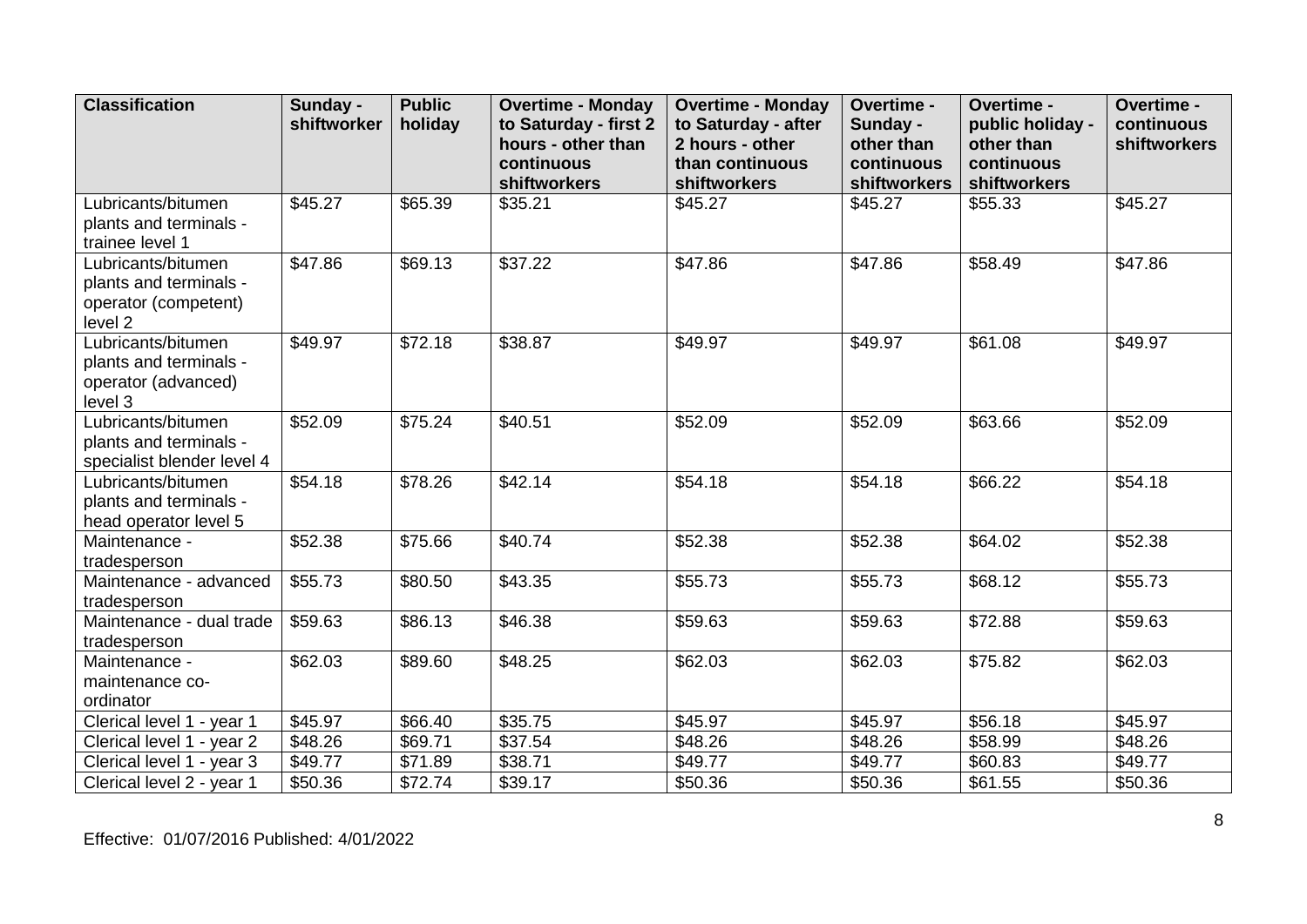| <b>Classification</b>                                                           | Sunday -<br>shiftworker | <b>Public</b><br>holiday | <b>Overtime - Monday</b><br>to Saturday - first 2 | <b>Overtime - Monday</b><br>Overtime -<br>to Saturday - after<br>Sunday - |                            | Overtime -<br>public holiday - | Overtime -<br>continuous |
|---------------------------------------------------------------------------------|-------------------------|--------------------------|---------------------------------------------------|---------------------------------------------------------------------------|----------------------------|--------------------------------|--------------------------|
|                                                                                 |                         |                          | hours - other than                                | 2 hours - other                                                           | other than                 | other than                     | shiftworkers             |
|                                                                                 |                         |                          | continuous<br>shiftworkers                        | than continuous<br>shiftworkers                                           | continuous<br>shiftworkers | continuous<br>shiftworkers     |                          |
| Lubricants/bitumen<br>plants and terminals -<br>trainee level 1                 | \$45.27                 | \$65.39                  | \$35.21                                           | \$45.27                                                                   | \$45.27                    | \$55.33                        | \$45.27                  |
| Lubricants/bitumen<br>plants and terminals -<br>operator (competent)<br>level 2 | \$47.86                 | \$69.13                  | \$37.22                                           | \$47.86                                                                   | \$47.86                    | \$58.49                        | \$47.86                  |
| Lubricants/bitumen<br>plants and terminals -<br>operator (advanced)<br>level 3  | \$49.97                 | \$72.18                  | \$38.87                                           | \$49.97                                                                   | \$49.97                    | \$61.08                        | \$49.97                  |
| Lubricants/bitumen<br>plants and terminals -<br>specialist blender level 4      | \$52.09                 | \$75.24                  | \$40.51                                           | \$52.09                                                                   | \$52.09                    | \$63.66                        | \$52.09                  |
| Lubricants/bitumen<br>plants and terminals -<br>head operator level 5           | \$54.18                 | \$78.26                  | \$42.14                                           | \$54.18                                                                   | \$54.18                    | \$66.22                        | \$54.18                  |
| Maintenance -<br>tradesperson                                                   | \$52.38                 | \$75.66                  | \$40.74                                           | \$52.38                                                                   | \$52.38                    | \$64.02                        | \$52.38                  |
| Maintenance - advanced<br>tradesperson                                          | \$55.73                 | \$80.50                  | \$43.35                                           | \$55.73                                                                   | \$55.73                    | \$68.12                        | \$55.73                  |
| Maintenance - dual trade<br>tradesperson                                        | \$59.63                 | \$86.13                  | \$46.38                                           | \$59.63                                                                   | \$59.63                    | \$72.88                        | \$59.63                  |
| Maintenance -<br>maintenance co-<br>ordinator                                   | \$62.03                 | \$89.60                  | \$48.25                                           | \$62.03                                                                   | \$62.03                    | \$75.82                        | \$62.03                  |
| Clerical level 1 - year 1                                                       | \$45.97                 | \$66.40                  | \$35.75                                           | \$45.97                                                                   | \$45.97                    | \$56.18                        | \$45.97                  |
| Clerical level 1 - year 2                                                       | \$48.26                 | \$69.71                  | \$37.54                                           | \$48.26                                                                   | \$48.26                    | \$58.99                        | \$48.26                  |
| Clerical level 1 - year 3                                                       | \$49.77                 | \$71.89                  | \$38.71                                           | \$49.77                                                                   | \$49.77                    | \$60.83                        | \$49.77                  |
| Clerical level 2 - year 1                                                       | \$50.36                 | \$72.74                  | \$39.17                                           | \$50.36                                                                   | \$50.36                    | \$61.55                        | \$50.36                  |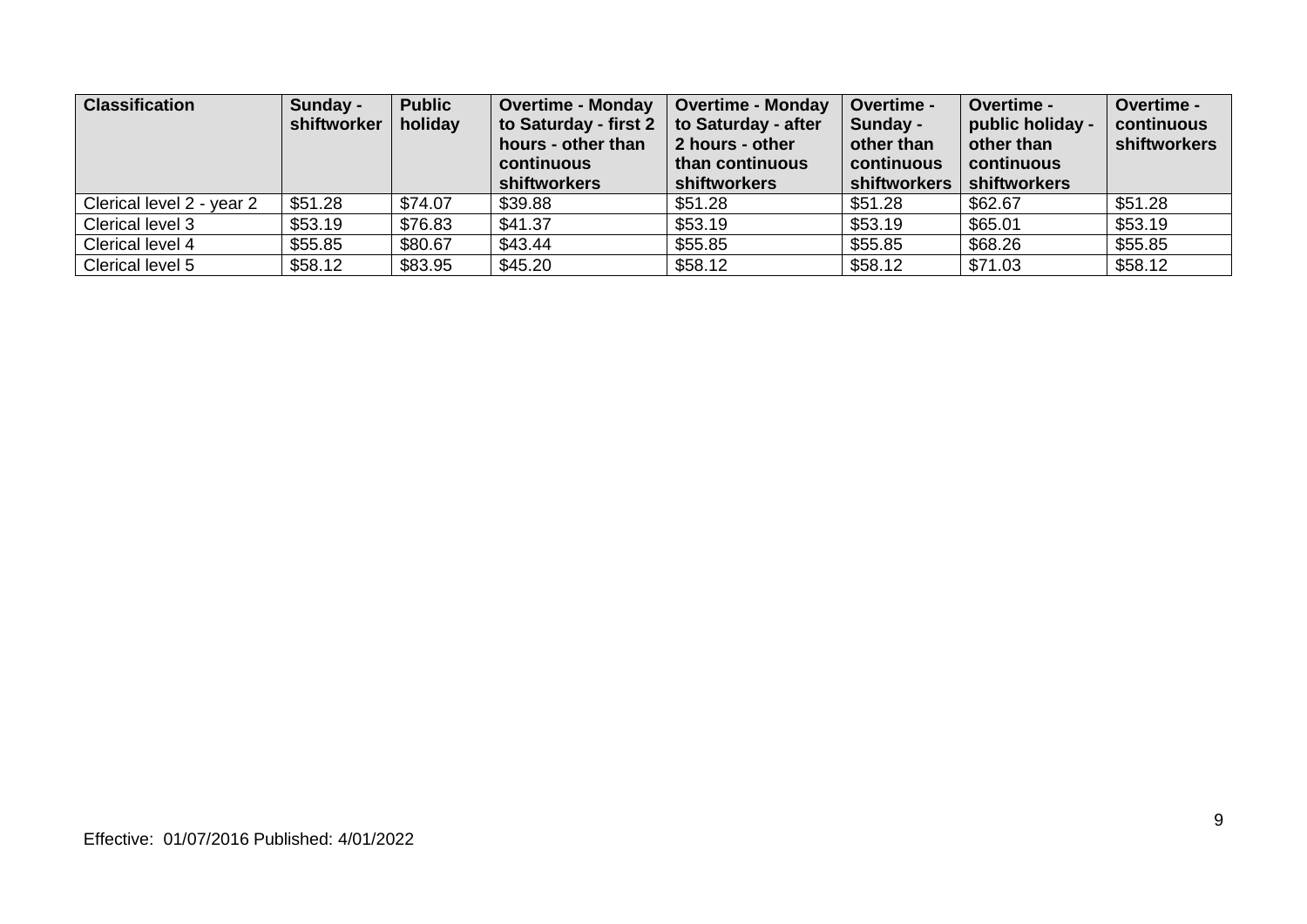| <b>Classification</b>     | Sunday -<br>shiftworker | <b>Public</b><br>holiday | <b>Overtime - Monday</b><br>to Saturday - first 2<br>hours - other than<br>continuous<br>shiftworkers | <b>Overtime - Monday</b><br>to Saturday - after<br>2 hours - other<br>than continuous<br><b>shiftworkers</b> | Overtime -<br>Sunday -<br>other than<br>continuous<br>shiftworkers | <b>Overtime -</b><br>public holiday -<br>other than<br>continuous<br><b>shiftworkers</b> | Overtime -<br>continuous<br>shiftworkers |
|---------------------------|-------------------------|--------------------------|-------------------------------------------------------------------------------------------------------|--------------------------------------------------------------------------------------------------------------|--------------------------------------------------------------------|------------------------------------------------------------------------------------------|------------------------------------------|
| Clerical level 2 - year 2 | \$51.28                 | \$74.07                  | \$39.88                                                                                               | \$51.28                                                                                                      | \$51.28                                                            | \$62.67                                                                                  | \$51.28                                  |
| Clerical level 3          | \$53.19                 | \$76.83                  | \$41.37                                                                                               | \$53.19                                                                                                      | \$53.19                                                            | \$65.01                                                                                  | \$53.19                                  |
| Clerical level 4          | \$55.85                 | \$80.67                  | \$43.44                                                                                               | \$55.85                                                                                                      | \$55.85                                                            | \$68.26                                                                                  | \$55.85                                  |
| Clerical level 5          | \$58.12                 | \$83.95                  | \$45.20                                                                                               | \$58.12                                                                                                      | \$58.12                                                            | \$71.03                                                                                  | \$58.12                                  |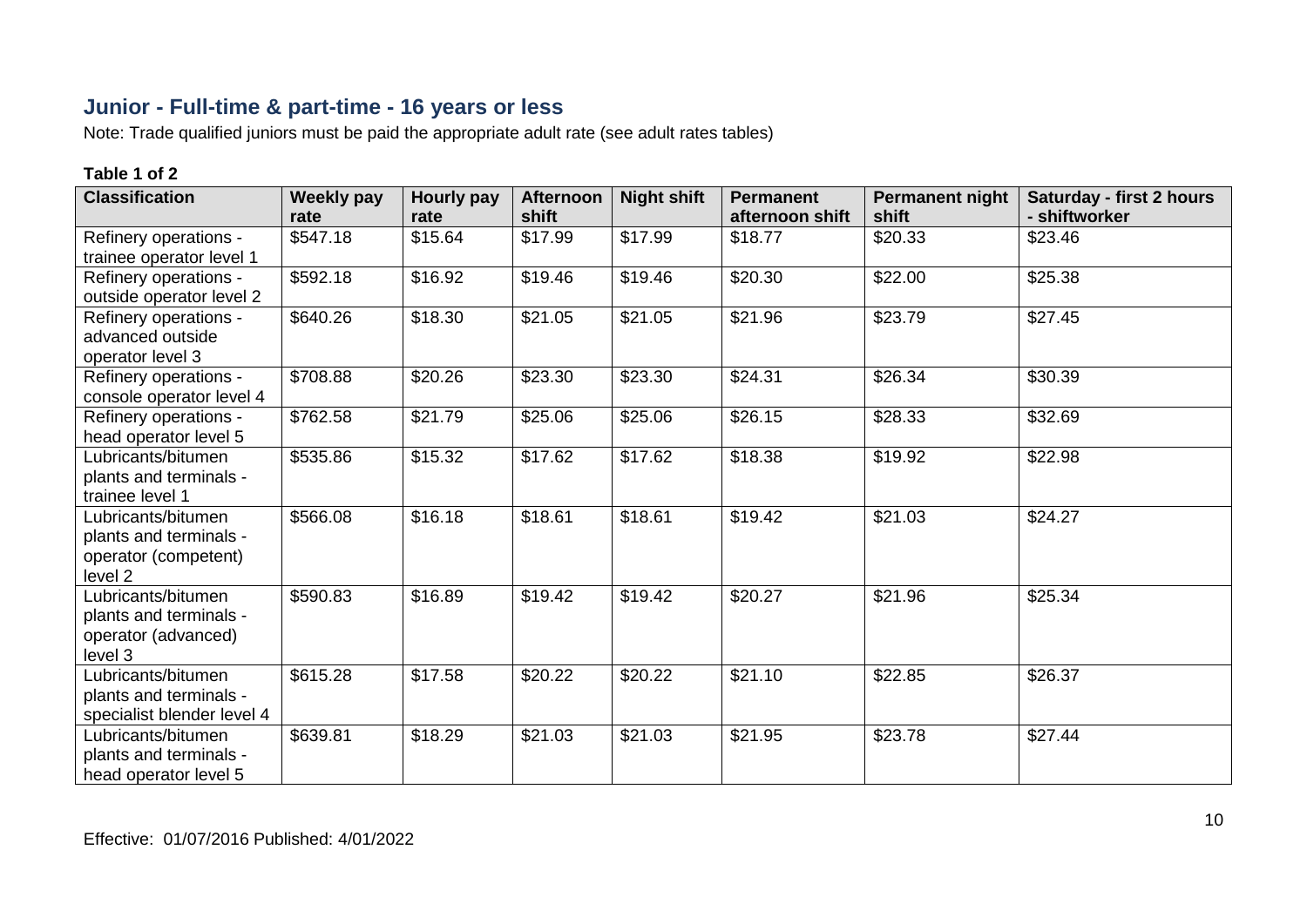## **Junior - Full-time & part-time - 16 years or less**

Note: Trade qualified juniors must be paid the appropriate adult rate (see adult rates tables)

| <b>Classification</b>                                                           | <b>Weekly pay</b><br>rate | Hourly pay<br>rate | <b>Afternoon</b><br>shift | <b>Night shift</b> | <b>Permanent</b><br>afternoon shift | <b>Permanent night</b><br>shift | <b>Saturday - first 2 hours</b><br>- shiftworker |
|---------------------------------------------------------------------------------|---------------------------|--------------------|---------------------------|--------------------|-------------------------------------|---------------------------------|--------------------------------------------------|
| Refinery operations -<br>trainee operator level 1                               | \$547.18                  | \$15.64            | \$17.99                   | \$17.99            | \$18.77                             | \$20.33                         | \$23.46                                          |
| Refinery operations -<br>outside operator level 2                               | \$592.18                  | \$16.92            | \$19.46                   | \$19.46            | \$20.30                             | \$22.00                         | \$25.38                                          |
| Refinery operations -<br>advanced outside<br>operator level 3                   | \$640.26                  | \$18.30            | \$21.05                   | \$21.05            | \$21.96                             | \$23.79                         | \$27.45                                          |
| Refinery operations -<br>console operator level 4                               | \$708.88                  | \$20.26            | \$23.30                   | \$23.30            | \$24.31                             | \$26.34                         | \$30.39                                          |
| Refinery operations -<br>head operator level 5                                  | \$762.58                  | \$21.79            | \$25.06                   | \$25.06            | \$26.15                             | \$28.33                         | \$32.69                                          |
| Lubricants/bitumen<br>plants and terminals -<br>trainee level 1                 | \$535.86                  | \$15.32            | \$17.62                   | \$17.62            | \$18.38                             | \$19.92                         | \$22.98                                          |
| Lubricants/bitumen<br>plants and terminals -<br>operator (competent)<br>level 2 | \$566.08                  | \$16.18            | \$18.61                   | \$18.61            | \$19.42                             | \$21.03                         | \$24.27                                          |
| Lubricants/bitumen<br>plants and terminals -<br>operator (advanced)<br>level 3  | \$590.83                  | \$16.89            | \$19.42                   | \$19.42            | \$20.27                             | \$21.96                         | \$25.34                                          |
| Lubricants/bitumen<br>plants and terminals -<br>specialist blender level 4      | \$615.28                  | \$17.58            | \$20.22                   | \$20.22            | \$21.10                             | \$22.85                         | \$26.37                                          |
| Lubricants/bitumen<br>plants and terminals -<br>head operator level 5           | \$639.81                  | \$18.29            | \$21.03                   | \$21.03            | \$21.95                             | \$23.78                         | \$27.44                                          |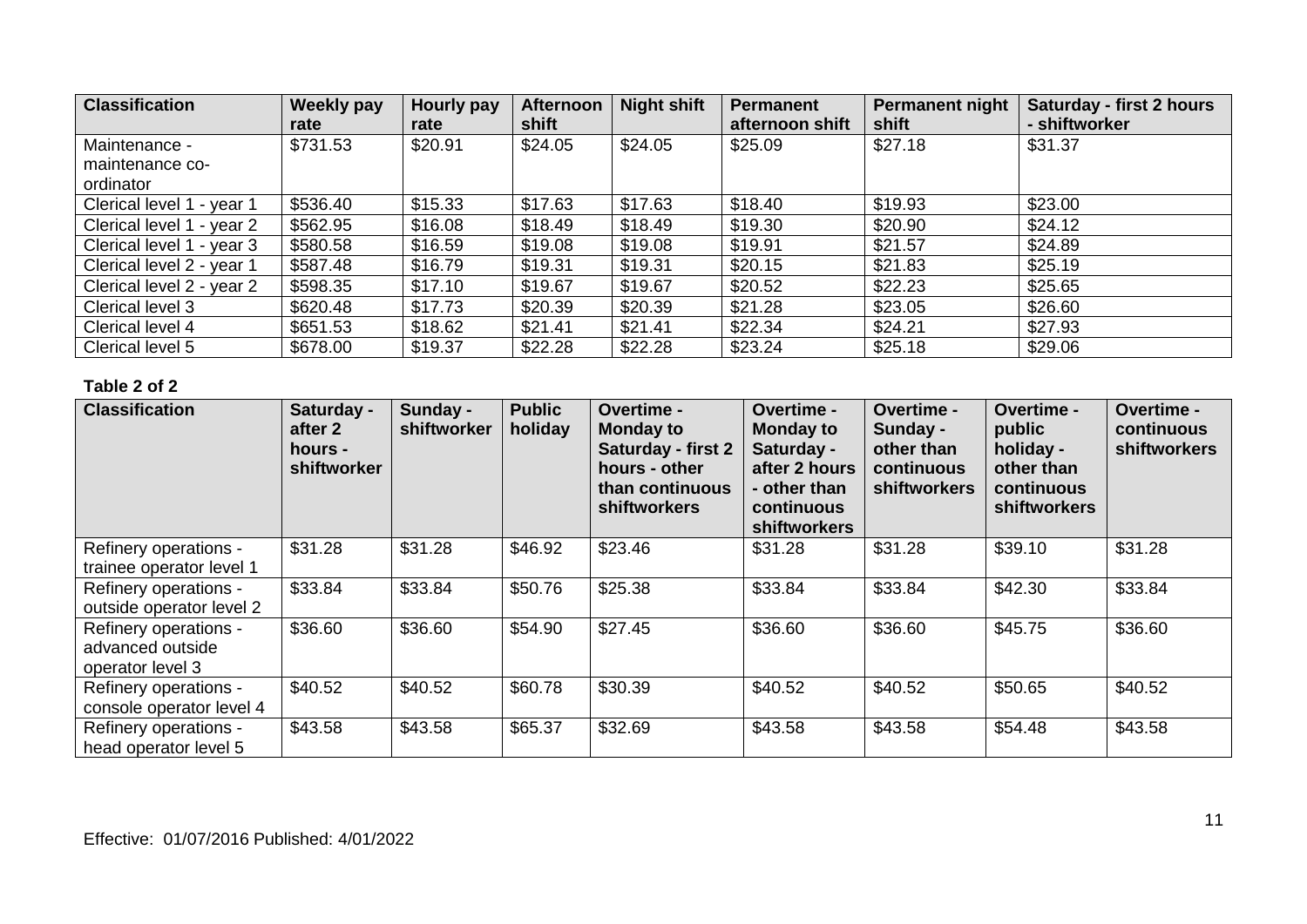| <b>Classification</b>     | Weekly pay<br>rate | Hourly pay<br>rate | <b>Afternoon</b><br>shift | <b>Night shift</b> | Permanent<br>afternoon shift | <b>Permanent night</b><br>shift | Saturday - first 2 hours<br>- shiftworker |
|---------------------------|--------------------|--------------------|---------------------------|--------------------|------------------------------|---------------------------------|-------------------------------------------|
| Maintenance -             | \$731.53           | \$20.91            | \$24.05                   | \$24.05            | \$25.09                      | \$27.18                         | \$31.37                                   |
| maintenance co-           |                    |                    |                           |                    |                              |                                 |                                           |
| ordinator                 |                    |                    |                           |                    |                              |                                 |                                           |
| Clerical level 1 - year 1 | \$536.40           | \$15.33            | \$17.63                   | \$17.63            | \$18.40                      | \$19.93                         | \$23.00                                   |
| Clerical level 1 - year 2 | \$562.95           | \$16.08            | \$18.49                   | \$18.49            | \$19.30                      | \$20.90                         | \$24.12                                   |
| Clerical level 1 - year 3 | \$580.58           | \$16.59            | \$19.08                   | \$19.08            | \$19.91                      | \$21.57                         | \$24.89                                   |
| Clerical level 2 - year 1 | \$587.48           | \$16.79            | \$19.31                   | \$19.31            | \$20.15                      | \$21.83                         | \$25.19                                   |
| Clerical level 2 - year 2 | \$598.35           | \$17.10            | \$19.67                   | \$19.67            | \$20.52                      | \$22.23                         | \$25.65                                   |
| Clerical level 3          | \$620.48           | \$17.73            | \$20.39                   | \$20.39            | \$21.28                      | \$23.05                         | \$26.60                                   |
| Clerical level 4          | \$651.53           | \$18.62            | \$21.41                   | \$21.41            | \$22.34                      | \$24.21                         | \$27.93                                   |
| Clerical level 5          | \$678.00           | \$19.37            | \$22.28                   | \$22.28            | \$23.24                      | \$25.18                         | \$29.06                                   |

| <b>Classification</b>                                         | Saturday -<br>after 2<br>hours -<br>shiftworker | Sunday -<br>shiftworker | <b>Public</b><br>holiday | Overtime -<br><b>Monday to</b><br>Saturday - first 2<br>hours - other<br>than continuous<br><b>shiftworkers</b> | <b>Overtime -</b><br><b>Monday to</b><br>Saturday -<br>after 2 hours<br>- other than<br>continuous<br><b>shiftworkers</b> | <b>Overtime -</b><br>Sunday -<br>other than<br>continuous<br>shiftworkers | Overtime -<br>public<br>holiday -<br>other than<br>continuous<br><b>shiftworkers</b> | Overtime -<br>continuous<br>shiftworkers |
|---------------------------------------------------------------|-------------------------------------------------|-------------------------|--------------------------|-----------------------------------------------------------------------------------------------------------------|---------------------------------------------------------------------------------------------------------------------------|---------------------------------------------------------------------------|--------------------------------------------------------------------------------------|------------------------------------------|
| Refinery operations -<br>trainee operator level 1             | \$31.28                                         | \$31.28                 | \$46.92                  | \$23.46                                                                                                         | \$31.28                                                                                                                   | \$31.28                                                                   | \$39.10                                                                              | \$31.28                                  |
| Refinery operations -<br>outside operator level 2             | \$33.84                                         | \$33.84                 | \$50.76                  | \$25.38                                                                                                         | \$33.84                                                                                                                   | \$33.84                                                                   | \$42.30                                                                              | \$33.84                                  |
| Refinery operations -<br>advanced outside<br>operator level 3 | \$36.60                                         | \$36.60                 | \$54.90                  | \$27.45                                                                                                         | \$36.60                                                                                                                   | \$36.60                                                                   | \$45.75                                                                              | \$36.60                                  |
| Refinery operations -<br>console operator level 4             | \$40.52                                         | \$40.52                 | \$60.78                  | \$30.39                                                                                                         | \$40.52                                                                                                                   | \$40.52                                                                   | \$50.65                                                                              | \$40.52                                  |
| Refinery operations -<br>head operator level 5                | \$43.58                                         | \$43.58                 | \$65.37                  | \$32.69                                                                                                         | \$43.58                                                                                                                   | \$43.58                                                                   | \$54.48                                                                              | \$43.58                                  |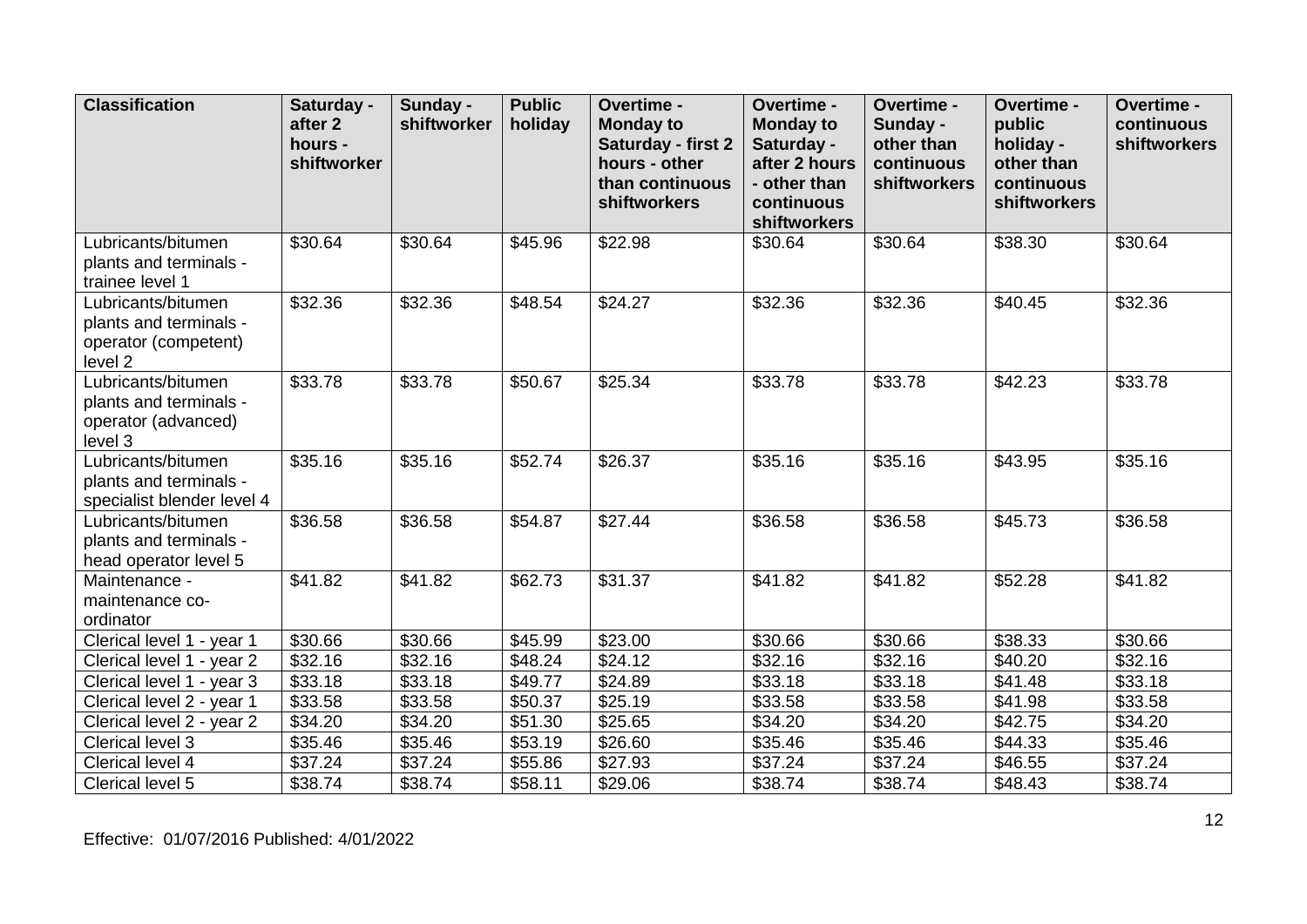| <b>Classification</b>                                                           | Saturday -<br>after <sub>2</sub><br>hours -<br>shiftworker | Sunday -<br>shiftworker | <b>Public</b><br>holiday | Overtime -<br><b>Monday to</b><br>Saturday - first 2<br>hours - other<br>than continuous | Overtime -<br><b>Monday to</b><br>Saturday -<br>after 2 hours<br>- other than | Overtime -<br>Sunday -<br>other than<br>continuous<br>shiftworkers | Overtime -<br>public<br>holiday -<br>other than<br>continuous | Overtime -<br>continuous<br>shiftworkers |
|---------------------------------------------------------------------------------|------------------------------------------------------------|-------------------------|--------------------------|------------------------------------------------------------------------------------------|-------------------------------------------------------------------------------|--------------------------------------------------------------------|---------------------------------------------------------------|------------------------------------------|
|                                                                                 |                                                            |                         |                          | shiftworkers                                                                             | continuous<br>shiftworkers                                                    |                                                                    | shiftworkers                                                  |                                          |
| Lubricants/bitumen<br>plants and terminals -<br>trainee level 1                 | \$30.64                                                    | \$30.64                 | \$45.96                  | \$22.98                                                                                  | \$30.64                                                                       | \$30.64                                                            | \$38.30                                                       | \$30.64                                  |
| Lubricants/bitumen<br>plants and terminals -<br>operator (competent)<br>level 2 | \$32.36                                                    | \$32.36                 | \$48.54                  | \$24.27                                                                                  | \$32.36                                                                       | \$32.36                                                            | \$40.45                                                       | \$32.36                                  |
| Lubricants/bitumen<br>plants and terminals -<br>operator (advanced)<br>level 3  | \$33.78                                                    | \$33.78                 | \$50.67                  | \$25.34                                                                                  | \$33.78                                                                       | \$33.78                                                            | $\overline{$}42.23$                                           | \$33.78                                  |
| Lubricants/bitumen<br>plants and terminals -<br>specialist blender level 4      | \$35.16                                                    | \$35.16                 | \$52.74                  | \$26.37                                                                                  | \$35.16                                                                       | \$35.16                                                            | \$43.95                                                       | \$35.16                                  |
| Lubricants/bitumen<br>plants and terminals -<br>head operator level 5           | \$36.58                                                    | \$36.58                 | \$54.87                  | \$27.44                                                                                  | \$36.58                                                                       | \$36.58                                                            | \$45.73                                                       | \$36.58                                  |
| Maintenance -<br>maintenance co-<br>ordinator                                   | \$41.82                                                    | \$41.82                 | \$62.73                  | \$31.37                                                                                  | \$41.82                                                                       | \$41.82                                                            | \$52.28                                                       | \$41.82                                  |
| Clerical level 1 - year 1                                                       | \$30.66                                                    | \$30.66                 | \$45.99                  | \$23.00                                                                                  | \$30.66                                                                       | \$30.66                                                            | \$38.33                                                       | \$30.66                                  |
| Clerical level 1 - year 2                                                       | \$32.16                                                    | \$32.16                 | \$48.24                  | \$24.12                                                                                  | \$32.16                                                                       | \$32.16                                                            | \$40.20                                                       | \$32.16                                  |
| Clerical level 1 - year 3                                                       | \$33.18                                                    | \$33.18                 | \$49.77                  | \$24.89                                                                                  | \$33.18                                                                       | \$33.18                                                            | \$41.48                                                       | \$33.18                                  |
| Clerical level 2 - year 1                                                       | \$33.58                                                    | \$33.58                 | \$50.37                  | \$25.19                                                                                  | \$33.58                                                                       | \$33.58                                                            | \$41.98                                                       | \$33.58                                  |
| Clerical level 2 - year 2                                                       | \$34.20                                                    | \$34.20                 | \$51.30                  | \$25.65                                                                                  | \$34.20                                                                       | $\overline{$}34.20$                                                | \$42.75                                                       | \$34.20                                  |
| Clerical level 3                                                                | \$35.46                                                    | \$35.46                 | \$53.19                  | \$26.60                                                                                  | \$35.46                                                                       | \$35.46                                                            | \$44.33                                                       | \$35.46                                  |
| Clerical level 4                                                                | \$37.24                                                    | \$37.24                 | \$55.86                  | \$27.93                                                                                  | \$37.24                                                                       | \$37.24                                                            | \$46.55                                                       | \$37.24                                  |
| Clerical level 5                                                                | \$38.74                                                    | \$38.74                 | \$58.11                  | \$29.06                                                                                  | \$38.74                                                                       | \$38.74                                                            | \$48.43                                                       | \$38.74                                  |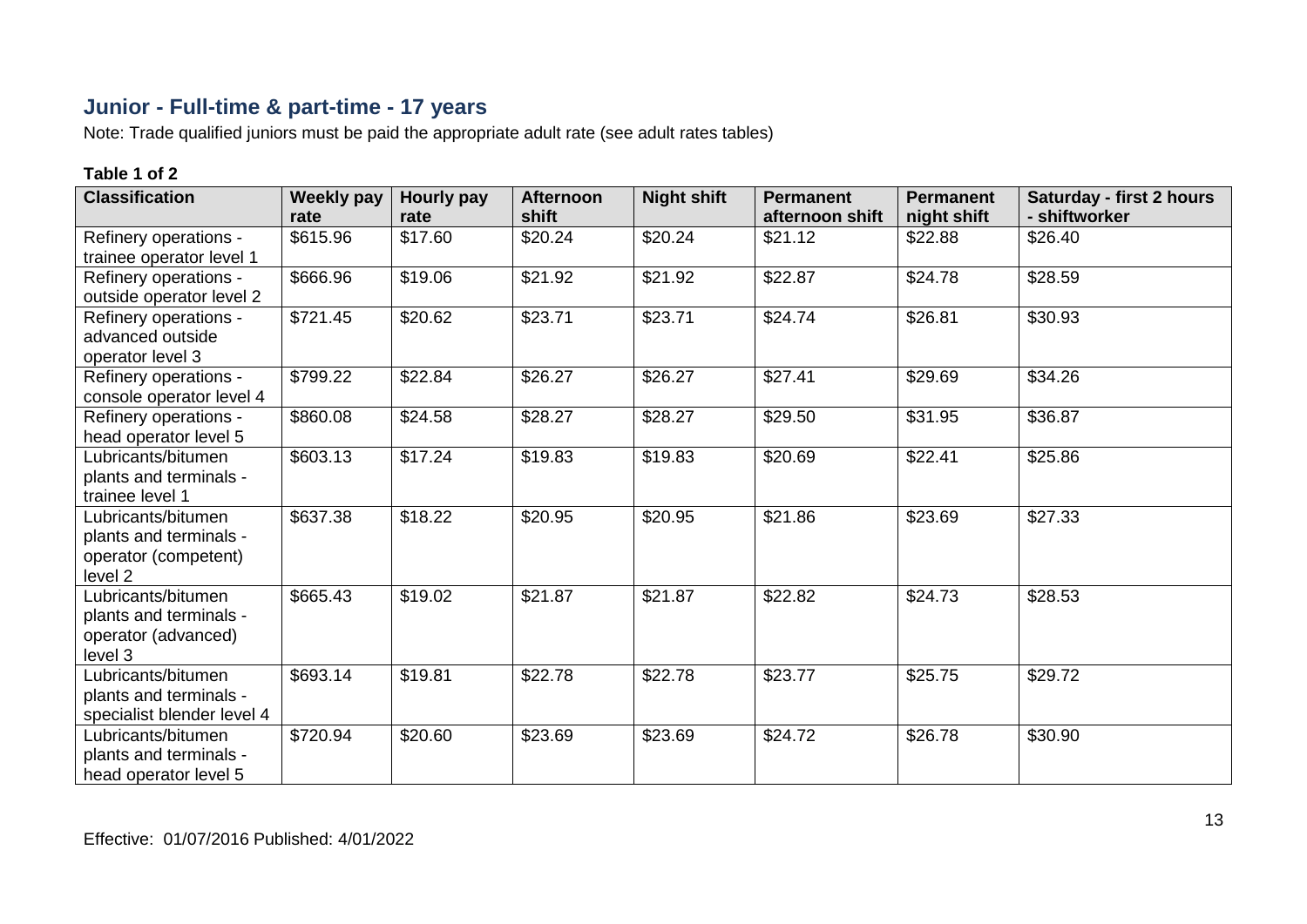## **Junior - Full-time & part-time - 17 years**

Note: Trade qualified juniors must be paid the appropriate adult rate (see adult rates tables)

| <b>Classification</b>                                                           | <b>Weekly pay</b><br>rate | <b>Hourly pay</b><br>rate | <b>Afternoon</b><br>shift | <b>Night shift</b> | <b>Permanent</b><br>afternoon shift | <b>Permanent</b><br>night shift | <b>Saturday - first 2 hours</b><br>- shiftworker |
|---------------------------------------------------------------------------------|---------------------------|---------------------------|---------------------------|--------------------|-------------------------------------|---------------------------------|--------------------------------------------------|
| Refinery operations -<br>trainee operator level 1                               | \$615.96                  | \$17.60                   | \$20.24                   | \$20.24            | \$21.12                             | \$22.88                         | \$26.40                                          |
| Refinery operations -<br>outside operator level 2                               | \$666.96                  | \$19.06                   | \$21.92                   | \$21.92            | \$22.87                             | \$24.78                         | \$28.59                                          |
| Refinery operations -<br>advanced outside<br>operator level 3                   | \$721.45                  | \$20.62                   | \$23.71                   | \$23.71            | \$24.74                             | \$26.81                         | \$30.93                                          |
| Refinery operations -<br>console operator level 4                               | \$799.22                  | \$22.84                   | \$26.27                   | \$26.27            | \$27.41                             | \$29.69                         | \$34.26                                          |
| Refinery operations -<br>head operator level 5                                  | \$860.08                  | \$24.58                   | \$28.27                   | \$28.27            | \$29.50                             | \$31.95                         | \$36.87                                          |
| Lubricants/bitumen<br>plants and terminals -<br>trainee level 1                 | \$603.13                  | $\sqrt{$17.24}$           | \$19.83                   | \$19.83            | \$20.69                             | \$22.41                         | \$25.86                                          |
| Lubricants/bitumen<br>plants and terminals -<br>operator (competent)<br>level 2 | \$637.38                  | \$18.22                   | \$20.95                   | \$20.95            | \$21.86                             | \$23.69                         | \$27.33                                          |
| Lubricants/bitumen<br>plants and terminals -<br>operator (advanced)<br>level 3  | \$665.43                  | \$19.02                   | \$21.87                   | \$21.87            | \$22.82                             | \$24.73                         | \$28.53                                          |
| Lubricants/bitumen<br>plants and terminals -<br>specialist blender level 4      | \$693.14                  | \$19.81                   | \$22.78                   | \$22.78            | \$23.77                             | \$25.75                         | \$29.72                                          |
| Lubricants/bitumen<br>plants and terminals -<br>head operator level 5           | \$720.94                  | \$20.60                   | \$23.69                   | \$23.69            | \$24.72                             | \$26.78                         | \$30.90                                          |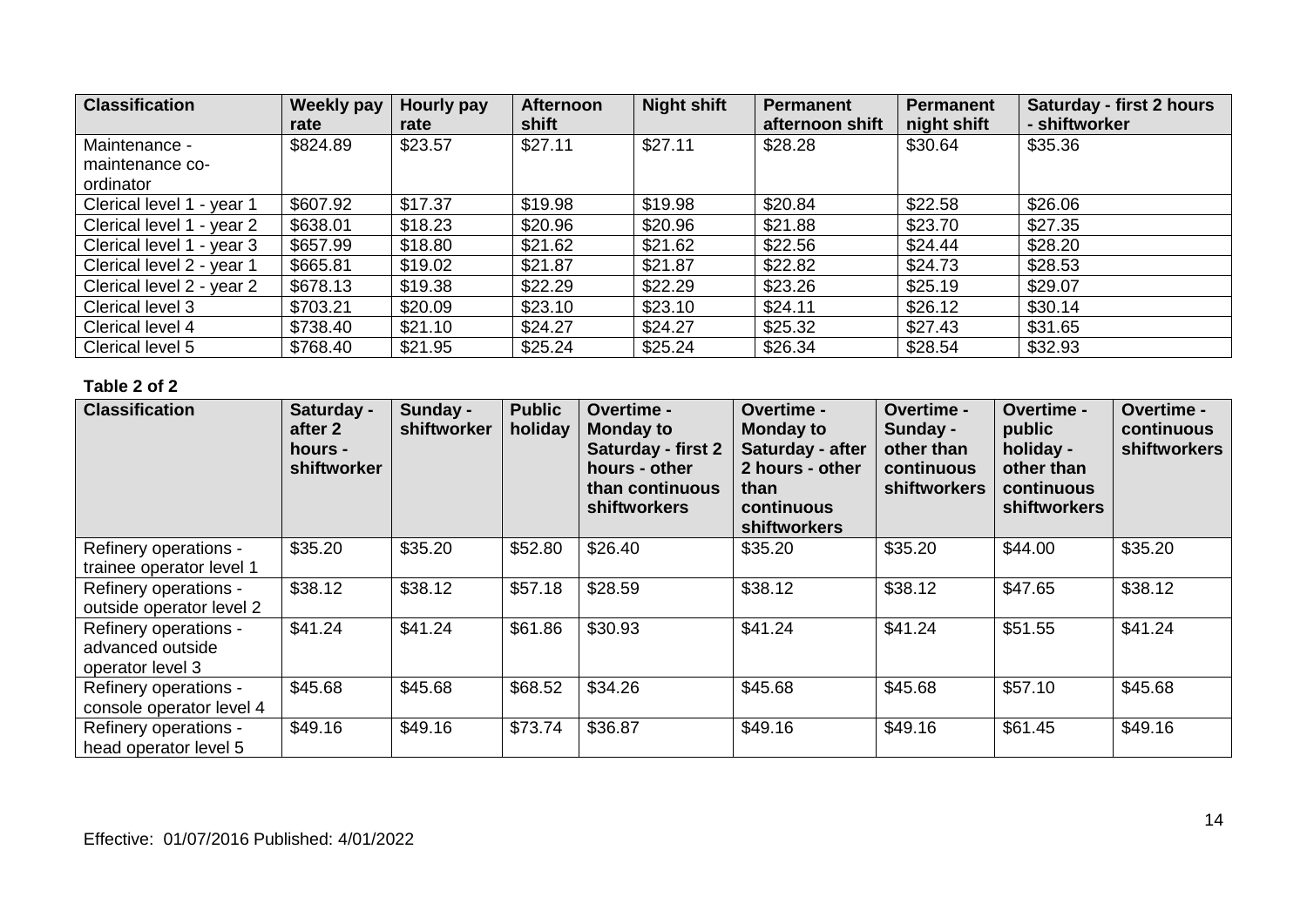| <b>Classification</b>     | Weekly pay<br>rate | Hourly pay<br>rate | <b>Afternoon</b><br>shift | <b>Night shift</b> | <b>Permanent</b><br>afternoon shift | Permanent<br>night shift | Saturday - first 2 hours<br>- shiftworker |
|---------------------------|--------------------|--------------------|---------------------------|--------------------|-------------------------------------|--------------------------|-------------------------------------------|
| Maintenance -             | \$824.89           | \$23.57            | \$27.11                   | \$27.11            | \$28.28                             | \$30.64                  | \$35.36                                   |
| maintenance co-           |                    |                    |                           |                    |                                     |                          |                                           |
| ordinator                 |                    |                    |                           |                    |                                     |                          |                                           |
| Clerical level 1 - year 1 | \$607.92           | \$17.37            | \$19.98                   | \$19.98            | \$20.84                             | \$22.58                  | \$26.06                                   |
| Clerical level 1 - year 2 | \$638.01           | \$18.23            | \$20.96                   | \$20.96            | \$21.88                             | \$23.70                  | \$27.35                                   |
| Clerical level 1 - year 3 | \$657.99           | \$18.80            | \$21.62                   | \$21.62            | \$22.56                             | \$24.44                  | \$28.20                                   |
| Clerical level 2 - year 1 | \$665.81           | \$19.02            | \$21.87                   | \$21.87            | \$22.82                             | \$24.73                  | \$28.53                                   |
| Clerical level 2 - year 2 | \$678.13           | \$19.38            | \$22.29                   | \$22.29            | \$23.26                             | \$25.19                  | \$29.07                                   |
| Clerical level 3          | \$703.21           | \$20.09            | \$23.10                   | \$23.10            | \$24.11                             | \$26.12                  | \$30.14                                   |
| Clerical level 4          | \$738.40           | \$21.10            | \$24.27                   | \$24.27            | \$25.32                             | \$27.43                  | \$31.65                                   |
| Clerical level 5          | \$768.40           | \$21.95            | \$25.24                   | \$25.24            | \$26.34                             | \$28.54                  | \$32.93                                   |

| <b>Classification</b>                                         | Saturday -<br>after 2<br>hours -<br>shiftworker | Sunday -<br>shiftworker | <b>Public</b><br>holiday | Overtime -<br><b>Monday to</b><br><b>Saturday - first 2</b><br>hours - other<br>than continuous<br>shiftworkers | Overtime -<br><b>Monday to</b><br>Saturday - after<br>2 hours - other<br>than<br>continuous<br><b>shiftworkers</b> | Overtime -<br>Sunday -<br>other than<br>continuous<br><b>shiftworkers</b> | Overtime -<br>public<br>holiday -<br>other than<br>continuous<br><b>shiftworkers</b> | <b>Overtime -</b><br>continuous<br><b>shiftworkers</b> |
|---------------------------------------------------------------|-------------------------------------------------|-------------------------|--------------------------|-----------------------------------------------------------------------------------------------------------------|--------------------------------------------------------------------------------------------------------------------|---------------------------------------------------------------------------|--------------------------------------------------------------------------------------|--------------------------------------------------------|
| Refinery operations -<br>trainee operator level 1             | \$35.20                                         | \$35.20                 | \$52.80                  | \$26.40                                                                                                         | \$35.20                                                                                                            | \$35.20                                                                   | \$44.00                                                                              | \$35.20                                                |
| Refinery operations -<br>outside operator level 2             | \$38.12                                         | \$38.12                 | \$57.18                  | \$28.59                                                                                                         | \$38.12                                                                                                            | \$38.12                                                                   | \$47.65                                                                              | \$38.12                                                |
| Refinery operations -<br>advanced outside<br>operator level 3 | \$41.24                                         | \$41.24                 | \$61.86                  | \$30.93                                                                                                         | \$41.24                                                                                                            | \$41.24                                                                   | \$51.55                                                                              | \$41.24                                                |
| Refinery operations -<br>console operator level 4             | \$45.68                                         | \$45.68                 | \$68.52                  | \$34.26                                                                                                         | \$45.68                                                                                                            | \$45.68                                                                   | \$57.10                                                                              | \$45.68                                                |
| Refinery operations -<br>head operator level 5                | \$49.16                                         | \$49.16                 | \$73.74                  | \$36.87                                                                                                         | \$49.16                                                                                                            | \$49.16                                                                   | \$61.45                                                                              | \$49.16                                                |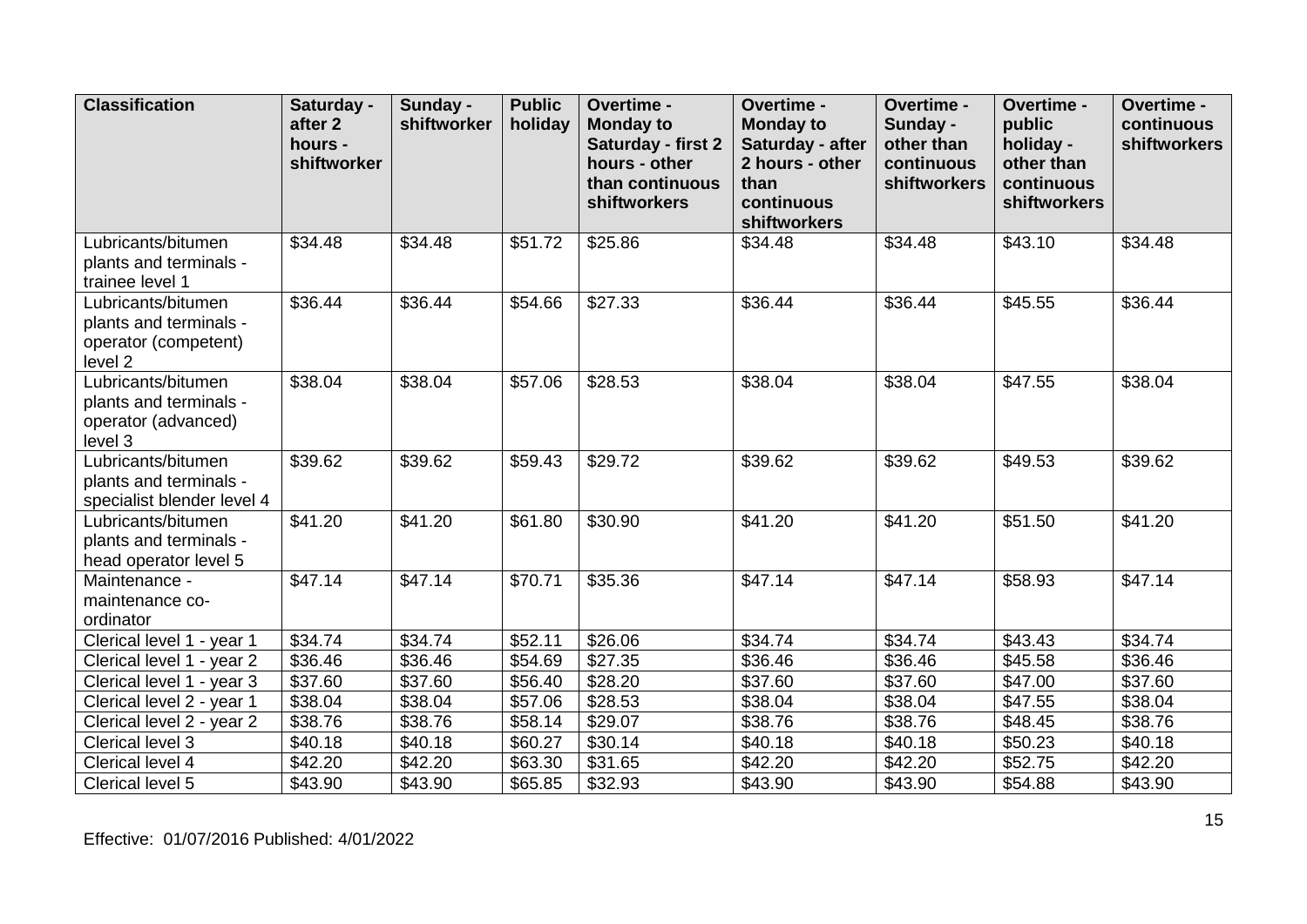| <b>Classification</b>                                                           | Saturday -<br>after 2<br>hours -<br>shiftworker | Sunday -<br>shiftworker | <b>Public</b><br>holiday | Overtime -<br><b>Monday to</b><br>Saturday - first 2<br>hours - other<br>than continuous<br>shiftworkers | Overtime -<br><b>Monday to</b><br>Saturday - after<br>2 hours - other<br>than<br>continuous | Overtime -<br>Sunday -<br>other than<br>continuous<br>shiftworkers | Overtime -<br>public<br>holiday -<br>other than<br>continuous<br>shiftworkers | Overtime -<br>continuous<br>shiftworkers |
|---------------------------------------------------------------------------------|-------------------------------------------------|-------------------------|--------------------------|----------------------------------------------------------------------------------------------------------|---------------------------------------------------------------------------------------------|--------------------------------------------------------------------|-------------------------------------------------------------------------------|------------------------------------------|
|                                                                                 |                                                 |                         |                          |                                                                                                          | shiftworkers                                                                                |                                                                    |                                                                               |                                          |
| Lubricants/bitumen<br>plants and terminals -<br>trainee level 1                 | \$34.48                                         | \$34.48                 | \$51.72                  | \$25.86                                                                                                  | \$34.48                                                                                     | \$34.48                                                            | \$43.10                                                                       | \$34.48                                  |
| Lubricants/bitumen<br>plants and terminals -<br>operator (competent)<br>level 2 | \$36.44                                         | \$36.44                 | \$54.66                  | \$27.33                                                                                                  | \$36.44                                                                                     | \$36.44                                                            | \$45.55                                                                       | \$36.44                                  |
| Lubricants/bitumen<br>plants and terminals -<br>operator (advanced)<br>level 3  | \$38.04                                         | \$38.04                 | \$57.06                  | \$28.53                                                                                                  | \$38.04                                                                                     | \$38.04                                                            | \$47.55                                                                       | \$38.04                                  |
| Lubricants/bitumen<br>plants and terminals -<br>specialist blender level 4      | \$39.62                                         | \$39.62                 | \$59.43                  | \$29.72                                                                                                  | \$39.62                                                                                     | \$39.62                                                            | \$49.53                                                                       | \$39.62                                  |
| Lubricants/bitumen<br>plants and terminals -<br>head operator level 5           | $\overline{$}41.20$                             | \$41.20                 | \$61.80                  | \$30.90                                                                                                  | \$41.20                                                                                     | \$41.20                                                            | \$51.50                                                                       | \$41.20                                  |
| Maintenance -<br>maintenance co-<br>ordinator                                   | \$47.14                                         | \$47.14                 | \$70.71                  | \$35.36                                                                                                  | \$47.14                                                                                     | \$47.14                                                            | \$58.93                                                                       | \$47.14                                  |
| Clerical level 1 - year 1                                                       | \$34.74                                         | \$34.74                 | \$52.11                  | \$26.06                                                                                                  | \$34.74                                                                                     | \$34.74                                                            | \$43.43                                                                       | \$34.74                                  |
| Clerical level 1 - year 2                                                       | \$36.46                                         | \$36.46                 | \$54.69                  | \$27.35                                                                                                  | \$36.46                                                                                     | \$36.46                                                            | \$45.58                                                                       | \$36.46                                  |
| Clerical level 1 - year 3                                                       | \$37.60                                         | \$37.60                 | \$56.40                  | \$28.20                                                                                                  | \$37.60                                                                                     | \$37.60                                                            | \$47.00                                                                       | \$37.60                                  |
| Clerical level 2 - year 1                                                       | \$38.04                                         | \$38.04                 | \$57.06                  | \$28.53                                                                                                  | \$38.04                                                                                     | \$38.04                                                            | \$47.55                                                                       | \$38.04                                  |
| Clerical level 2 - year 2                                                       | \$38.76                                         | \$38.76                 | \$58.14                  | \$29.07                                                                                                  | \$38.76                                                                                     | \$38.76                                                            | \$48.45                                                                       | \$38.76                                  |
| Clerical level 3                                                                | \$40.18                                         | \$40.18                 | \$60.27                  | \$30.14                                                                                                  | \$40.18                                                                                     | \$40.18                                                            | \$50.23                                                                       | \$40.18                                  |
| Clerical level 4                                                                | \$42.20                                         | \$42.20                 | \$63.30                  | \$31.65                                                                                                  | \$42.20                                                                                     | \$42.20                                                            | $\overline{$}52.75$                                                           | \$42.20                                  |
| Clerical level 5                                                                | \$43.90                                         | \$43.90                 | \$65.85                  | \$32.93                                                                                                  | \$43.90                                                                                     | \$43.90                                                            | \$54.88                                                                       | \$43.90                                  |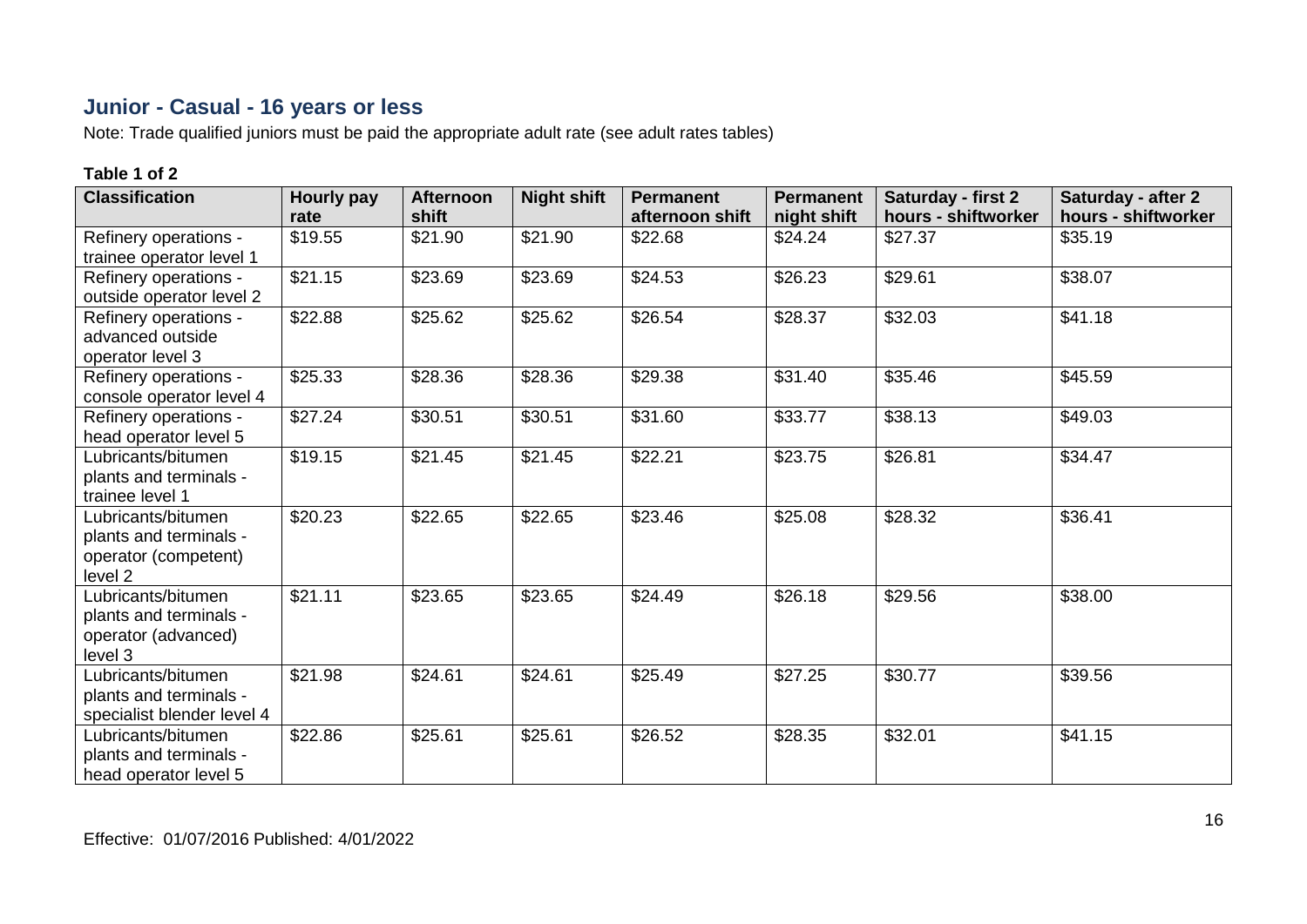## **Junior - Casual - 16 years or less**

Note: Trade qualified juniors must be paid the appropriate adult rate (see adult rates tables)

| <b>Classification</b>                                                           | <b>Hourly pay</b><br>rate | <b>Afternoon</b><br>shift | <b>Night shift</b> | <b>Permanent</b><br>afternoon shift | <b>Permanent</b><br>night shift | Saturday - first 2<br>hours - shiftworker | Saturday - after 2<br>hours - shiftworker |
|---------------------------------------------------------------------------------|---------------------------|---------------------------|--------------------|-------------------------------------|---------------------------------|-------------------------------------------|-------------------------------------------|
| Refinery operations -<br>trainee operator level 1                               | \$19.55                   | \$21.90                   | \$21.90            | \$22.68                             | \$24.24                         | \$27.37                                   | \$35.19                                   |
| Refinery operations -<br>outside operator level 2                               | \$21.15                   | \$23.69                   | \$23.69            | \$24.53                             | \$26.23                         | \$29.61                                   | \$38.07                                   |
| Refinery operations -<br>advanced outside<br>operator level 3                   | \$22.88                   | \$25.62                   | \$25.62            | \$26.54                             | \$28.37                         | \$32.03                                   | \$41.18                                   |
| Refinery operations -<br>console operator level 4                               | \$25.33                   | \$28.36                   | \$28.36            | \$29.38                             | \$31.40                         | \$35.46                                   | \$45.59                                   |
| Refinery operations -<br>head operator level 5                                  | \$27.24                   | \$30.51                   | \$30.51            | \$31.60                             | \$33.77                         | \$38.13                                   | \$49.03                                   |
| Lubricants/bitumen<br>plants and terminals -<br>trainee level 1                 | \$19.15                   | \$21.45                   | \$21.45            | \$22.21                             | \$23.75                         | \$26.81                                   | \$34.47                                   |
| Lubricants/bitumen<br>plants and terminals -<br>operator (competent)<br>level 2 | \$20.23                   | \$22.65                   | \$22.65            | \$23.46                             | \$25.08                         | \$28.32                                   | \$36.41                                   |
| Lubricants/bitumen<br>plants and terminals -<br>operator (advanced)<br>level 3  | \$21.11                   | \$23.65                   | \$23.65            | \$24.49                             | \$26.18                         | \$29.56                                   | \$38.00                                   |
| Lubricants/bitumen<br>plants and terminals -<br>specialist blender level 4      | \$21.98                   | \$24.61                   | \$24.61            | \$25.49                             | \$27.25                         | \$30.77                                   | \$39.56                                   |
| Lubricants/bitumen<br>plants and terminals -<br>head operator level 5           | \$22.86                   | \$25.61                   | \$25.61            | \$26.52                             | \$28.35                         | \$32.01                                   | \$41.15                                   |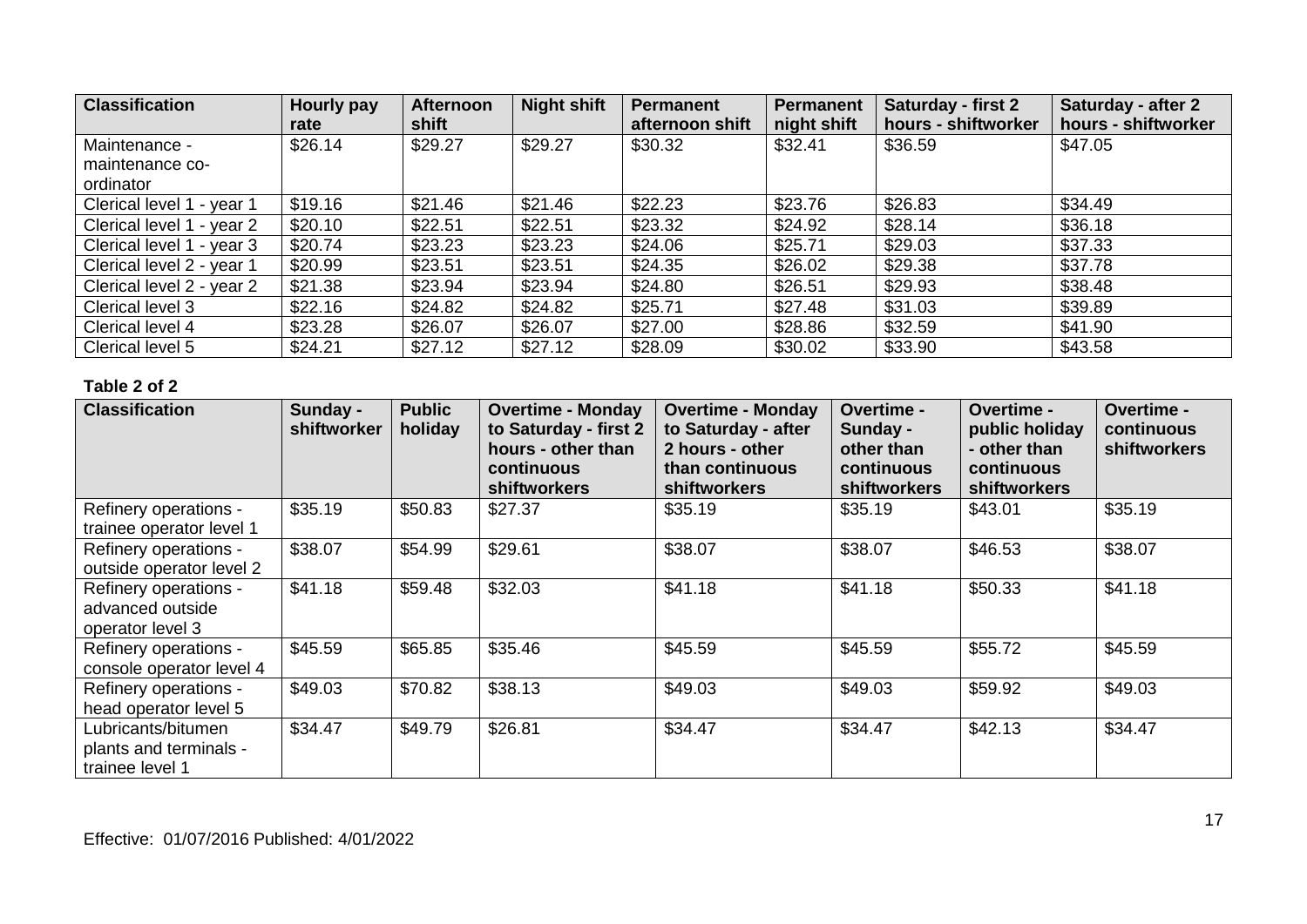| <b>Classification</b>     | Hourly pay<br>rate | <b>Afternoon</b><br>shift | <b>Night shift</b> | Permanent<br>afternoon shift | <b>Permanent</b><br>night shift | <b>Saturday - first 2</b><br>hours - shiftworker | Saturday - after 2<br>hours - shiftworker |
|---------------------------|--------------------|---------------------------|--------------------|------------------------------|---------------------------------|--------------------------------------------------|-------------------------------------------|
| Maintenance -             | \$26.14            | \$29.27                   | \$29.27            | \$30.32                      | \$32.41                         | \$36.59                                          | \$47.05                                   |
| maintenance co-           |                    |                           |                    |                              |                                 |                                                  |                                           |
| ordinator                 |                    |                           |                    |                              |                                 |                                                  |                                           |
| Clerical level 1 - year 1 | \$19.16            | \$21.46                   | \$21.46            | \$22.23                      | \$23.76                         | \$26.83                                          | \$34.49                                   |
| Clerical level 1 - year 2 | \$20.10            | \$22.51                   | \$22.51            | \$23.32                      | \$24.92                         | \$28.14                                          | \$36.18                                   |
| Clerical level 1 - year 3 | \$20.74            | \$23.23                   | \$23.23            | \$24.06                      | \$25.71                         | \$29.03                                          | \$37.33                                   |
| Clerical level 2 - year 1 | \$20.99            | \$23.51                   | \$23.51            | \$24.35                      | \$26.02                         | \$29.38                                          | \$37.78                                   |
| Clerical level 2 - year 2 | \$21.38            | \$23.94                   | \$23.94            | \$24.80                      | \$26.51                         | \$29.93                                          | \$38.48                                   |
| Clerical level 3          | \$22.16            | \$24.82                   | \$24.82            | \$25.71                      | \$27.48                         | \$31.03                                          | \$39.89                                   |
| Clerical level 4          | \$23.28            | \$26.07                   | \$26.07            | \$27.00                      | \$28.86                         | \$32.59                                          | \$41.90                                   |
| Clerical level 5          | \$24.21            | \$27.12                   | \$27.12            | \$28.09                      | \$30.02                         | \$33.90                                          | \$43.58                                   |

| <b>Classification</b>                                           | Sunday -<br>shiftworker | <b>Public</b><br>holiday | <b>Overtime - Monday</b><br>to Saturday - first 2<br>hours - other than<br>continuous<br><b>shiftworkers</b> | <b>Overtime - Monday</b><br>to Saturday - after<br>2 hours - other<br>than continuous<br><b>shiftworkers</b> | <b>Overtime -</b><br>Sunday -<br>other than<br>continuous<br><b>shiftworkers</b> | Overtime -<br>public holiday<br>- other than<br>continuous<br><b>shiftworkers</b> | Overtime -<br>continuous<br><b>shiftworkers</b> |
|-----------------------------------------------------------------|-------------------------|--------------------------|--------------------------------------------------------------------------------------------------------------|--------------------------------------------------------------------------------------------------------------|----------------------------------------------------------------------------------|-----------------------------------------------------------------------------------|-------------------------------------------------|
| Refinery operations -<br>trainee operator level 1               | \$35.19                 | \$50.83                  | \$27.37                                                                                                      | \$35.19                                                                                                      | \$35.19                                                                          | \$43.01                                                                           | \$35.19                                         |
| Refinery operations -<br>outside operator level 2               | \$38.07                 | \$54.99                  | \$29.61                                                                                                      | \$38.07                                                                                                      | \$38.07                                                                          | \$46.53                                                                           | \$38.07                                         |
| Refinery operations -<br>advanced outside<br>operator level 3   | \$41.18                 | \$59.48                  | \$32.03                                                                                                      | \$41.18                                                                                                      | \$41.18                                                                          | \$50.33                                                                           | \$41.18                                         |
| Refinery operations -<br>console operator level 4               | \$45.59                 | \$65.85                  | \$35.46                                                                                                      | \$45.59                                                                                                      | \$45.59                                                                          | \$55.72                                                                           | \$45.59                                         |
| Refinery operations -<br>head operator level 5                  | \$49.03                 | \$70.82                  | \$38.13                                                                                                      | \$49.03                                                                                                      | \$49.03                                                                          | \$59.92                                                                           | \$49.03                                         |
| Lubricants/bitumen<br>plants and terminals -<br>trainee level 1 | \$34.47                 | \$49.79                  | \$26.81                                                                                                      | \$34.47                                                                                                      | \$34.47                                                                          | \$42.13                                                                           | \$34.47                                         |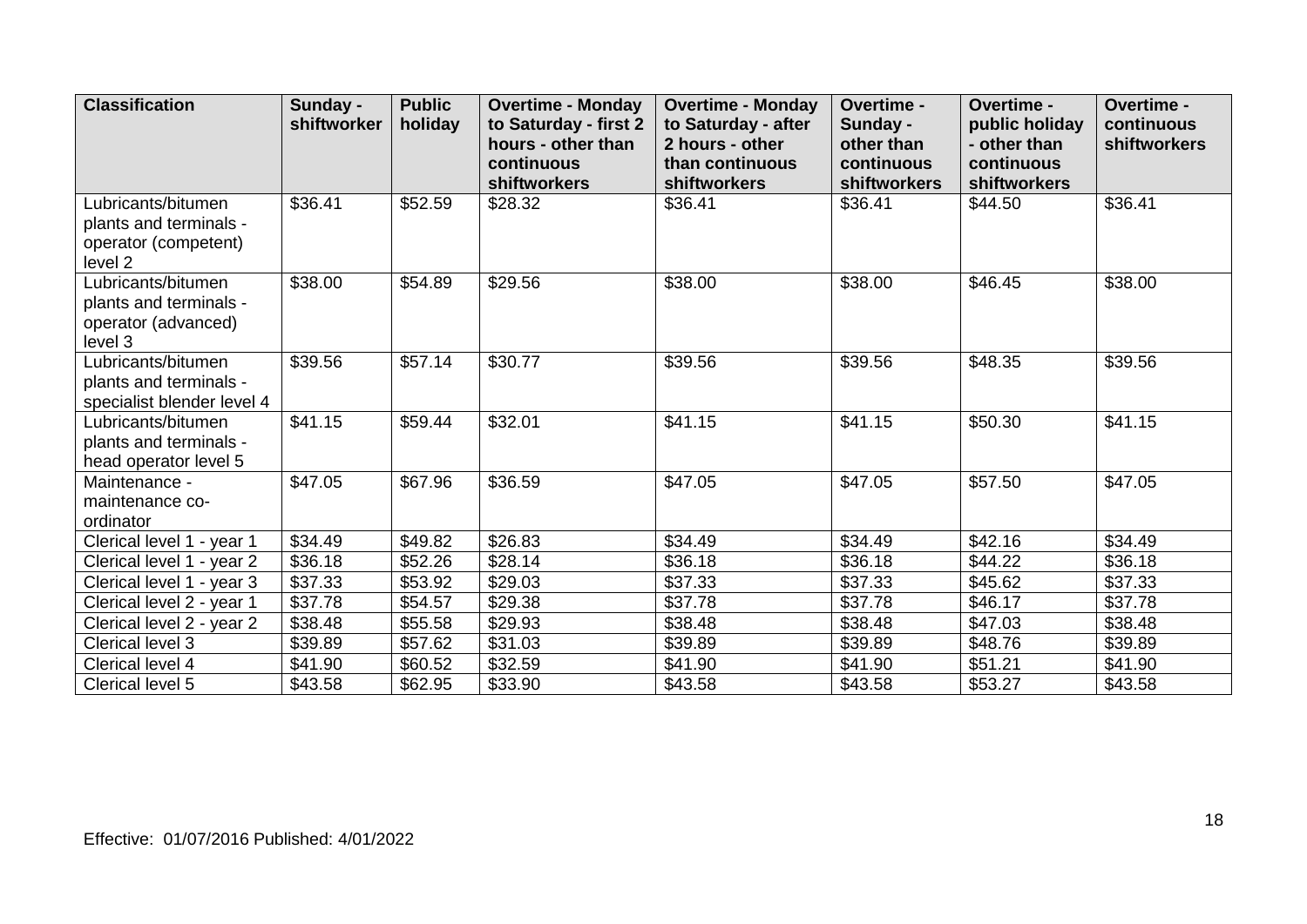| <b>Classification</b>                                                                      | Sunday -<br>shiftworker | <b>Public</b><br>holiday | <b>Overtime - Monday</b><br>to Saturday - first 2<br>hours - other than<br>continuous<br>shiftworkers | <b>Overtime - Monday</b><br>to Saturday - after<br>2 hours - other<br>than continuous<br>shiftworkers | Overtime -<br>Sunday -<br>other than<br>continuous<br>shiftworkers | Overtime -<br>public holiday<br>- other than<br>continuous<br>shiftworkers | Overtime -<br>continuous<br>shiftworkers |
|--------------------------------------------------------------------------------------------|-------------------------|--------------------------|-------------------------------------------------------------------------------------------------------|-------------------------------------------------------------------------------------------------------|--------------------------------------------------------------------|----------------------------------------------------------------------------|------------------------------------------|
| Lubricants/bitumen<br>plants and terminals -<br>operator (competent)<br>level <sub>2</sub> | \$36.41                 | \$52.59                  | \$28.32                                                                                               | \$36.41                                                                                               | \$36.41                                                            | \$44.50                                                                    | \$36.41                                  |
| Lubricants/bitumen<br>plants and terminals -<br>operator (advanced)<br>level 3             | \$38.00                 | \$54.89                  | \$29.56                                                                                               | \$38.00                                                                                               | \$38.00                                                            | \$46.45                                                                    | \$38.00                                  |
| Lubricants/bitumen<br>plants and terminals -<br>specialist blender level 4                 | \$39.56                 | \$57.14                  | \$30.77                                                                                               | \$39.56                                                                                               | \$39.56                                                            | \$48.35                                                                    | \$39.56                                  |
| Lubricants/bitumen<br>plants and terminals -<br>head operator level 5                      | \$41.15                 | \$59.44                  | \$32.01                                                                                               | \$41.15                                                                                               | \$41.15                                                            | \$50.30                                                                    | \$41.15                                  |
| Maintenance -<br>maintenance co-<br>ordinator                                              | \$47.05                 | \$67.96                  | \$36.59                                                                                               | \$47.05                                                                                               | \$47.05                                                            | \$57.50                                                                    | \$47.05                                  |
| Clerical level 1 - year 1                                                                  | \$34.49                 | \$49.82                  | \$26.83                                                                                               | \$34.49                                                                                               | \$34.49                                                            | \$42.16                                                                    | \$34.49                                  |
| Clerical level 1 - year 2                                                                  | \$36.18                 | \$52.26                  | \$28.14                                                                                               | \$36.18                                                                                               | \$36.18                                                            | \$44.22                                                                    | \$36.18                                  |
| Clerical level 1 - year 3                                                                  | \$37.33                 | \$53.92                  | \$29.03                                                                                               | \$37.33                                                                                               | \$37.33                                                            | \$45.62                                                                    | \$37.33                                  |
| Clerical level 2 - year 1                                                                  | \$37.78                 | \$54.57                  | \$29.38                                                                                               | \$37.78                                                                                               | \$37.78                                                            | \$46.17                                                                    | \$37.78                                  |
| Clerical level 2 - year 2                                                                  | \$38.48                 | \$55.58                  | \$29.93                                                                                               | \$38.48                                                                                               | \$38.48                                                            | \$47.03                                                                    | \$38.48                                  |
| Clerical level 3                                                                           | \$39.89                 | \$57.62                  | \$31.03                                                                                               | \$39.89                                                                                               | \$39.89                                                            | \$48.76                                                                    | \$39.89                                  |
| Clerical level 4                                                                           | \$41.90                 | \$60.52                  | \$32.59                                                                                               | \$41.90                                                                                               | \$41.90                                                            | \$51.21                                                                    | \$41.90                                  |
| Clerical level 5                                                                           | \$43.58                 | \$62.95                  | \$33.90                                                                                               | \$43.58                                                                                               | \$43.58                                                            | \$53.27                                                                    | \$43.58                                  |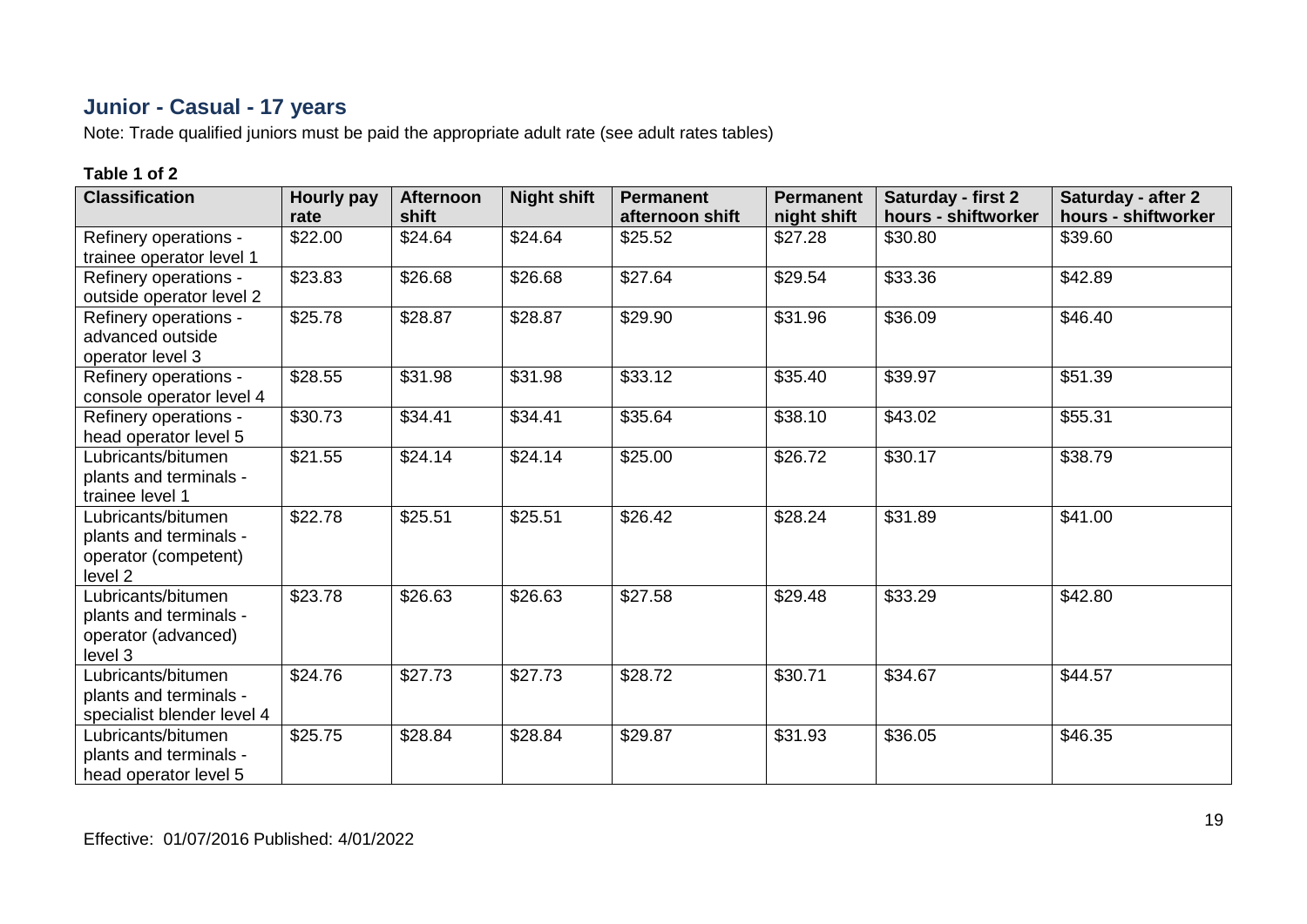# **Junior - Casual - 17 years**

Note: Trade qualified juniors must be paid the appropriate adult rate (see adult rates tables)

| <b>Classification</b>                             | Hourly pay<br>rate | <b>Afternoon</b><br>shift | <b>Night shift</b> | <b>Permanent</b><br>afternoon shift | <b>Permanent</b><br>night shift | Saturday - first 2<br>hours - shiftworker | Saturday - after 2<br>hours - shiftworker |
|---------------------------------------------------|--------------------|---------------------------|--------------------|-------------------------------------|---------------------------------|-------------------------------------------|-------------------------------------------|
| Refinery operations -                             | \$22.00            | \$24.64                   | \$24.64            | \$25.52                             | \$27.28                         | \$30.80                                   | \$39.60                                   |
| trainee operator level 1                          |                    |                           |                    |                                     |                                 |                                           |                                           |
| Refinery operations -<br>outside operator level 2 | \$23.83            | \$26.68                   | \$26.68            | \$27.64                             | \$29.54                         | \$33.36                                   | \$42.89                                   |
|                                                   | \$25.78            | \$28.87                   | \$28.87            |                                     | \$31.96                         | \$36.09                                   | \$46.40                                   |
| Refinery operations -                             |                    |                           |                    | \$29.90                             |                                 |                                           |                                           |
| advanced outside                                  |                    |                           |                    |                                     |                                 |                                           |                                           |
| operator level 3                                  |                    |                           |                    |                                     |                                 |                                           |                                           |
| Refinery operations -                             | \$28.55            | \$31.98                   | \$31.98            | \$33.12                             | \$35.40                         | \$39.97                                   | \$51.39                                   |
| console operator level 4                          |                    |                           |                    |                                     |                                 |                                           |                                           |
| Refinery operations -                             | \$30.73            | \$34.41                   | \$34.41            | \$35.64                             | \$38.10                         | \$43.02                                   | \$55.31                                   |
| head operator level 5                             |                    |                           |                    |                                     |                                 |                                           |                                           |
| Lubricants/bitumen                                | \$21.55            | \$24.14                   | \$24.14            | \$25.00                             | \$26.72                         | \$30.17                                   | \$38.79                                   |
| plants and terminals -                            |                    |                           |                    |                                     |                                 |                                           |                                           |
| trainee level 1                                   |                    |                           |                    |                                     |                                 |                                           |                                           |
| Lubricants/bitumen                                | \$22.78            | \$25.51                   | \$25.51            | \$26.42                             | \$28.24                         | \$31.89                                   | \$41.00                                   |
| plants and terminals -                            |                    |                           |                    |                                     |                                 |                                           |                                           |
| operator (competent)                              |                    |                           |                    |                                     |                                 |                                           |                                           |
| level 2                                           |                    |                           |                    |                                     |                                 |                                           |                                           |
| Lubricants/bitumen                                | \$23.78            | \$26.63                   | \$26.63            | \$27.58                             | \$29.48                         | \$33.29                                   | \$42.80                                   |
| plants and terminals -                            |                    |                           |                    |                                     |                                 |                                           |                                           |
| operator (advanced)                               |                    |                           |                    |                                     |                                 |                                           |                                           |
| level 3                                           |                    |                           |                    |                                     |                                 |                                           |                                           |
| Lubricants/bitumen                                | \$24.76            | \$27.73                   | \$27.73            | \$28.72                             | \$30.71                         | \$34.67                                   | \$44.57                                   |
| plants and terminals -                            |                    |                           |                    |                                     |                                 |                                           |                                           |
| specialist blender level 4                        |                    |                           |                    |                                     |                                 |                                           |                                           |
| Lubricants/bitumen                                | \$25.75            | \$28.84                   | \$28.84            | \$29.87                             | \$31.93                         | \$36.05                                   | \$46.35                                   |
| plants and terminals -                            |                    |                           |                    |                                     |                                 |                                           |                                           |
| head operator level 5                             |                    |                           |                    |                                     |                                 |                                           |                                           |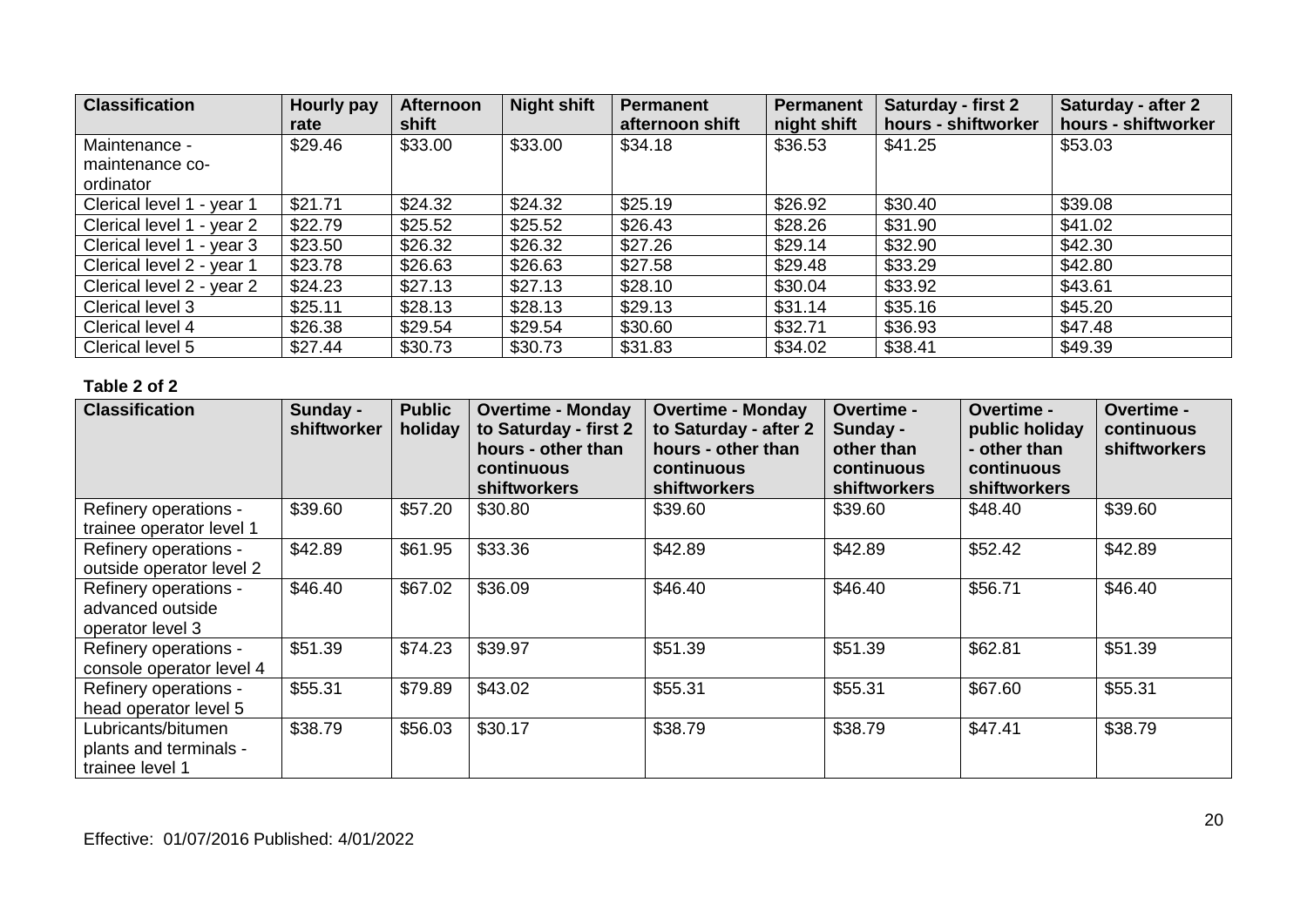| <b>Classification</b>     | Hourly pay<br>rate | <b>Afternoon</b><br>shift | <b>Night shift</b> | Permanent<br>afternoon shift | Permanent<br>night shift | Saturday - first 2<br>hours - shiftworker | Saturday - after 2<br>hours - shiftworker |
|---------------------------|--------------------|---------------------------|--------------------|------------------------------|--------------------------|-------------------------------------------|-------------------------------------------|
| Maintenance -             | \$29.46            | \$33.00                   | \$33.00            | \$34.18                      | \$36.53                  | \$41.25                                   | \$53.03                                   |
| maintenance co-           |                    |                           |                    |                              |                          |                                           |                                           |
| ordinator                 |                    |                           |                    |                              |                          |                                           |                                           |
| Clerical level 1 - year 1 | \$21.71            | \$24.32                   | \$24.32            | \$25.19                      | \$26.92                  | \$30.40                                   | \$39.08                                   |
| Clerical level 1 - year 2 | \$22.79            | \$25.52                   | \$25.52            | \$26.43                      | \$28.26                  | \$31.90                                   | \$41.02                                   |
| Clerical level 1 - year 3 | \$23.50            | \$26.32                   | \$26.32            | \$27.26                      | \$29.14                  | \$32.90                                   | \$42.30                                   |
| Clerical level 2 - year 1 | \$23.78            | \$26.63                   | \$26.63            | \$27.58                      | \$29.48                  | \$33.29                                   | \$42.80                                   |
| Clerical level 2 - year 2 | \$24.23            | \$27.13                   | \$27.13            | \$28.10                      | \$30.04                  | \$33.92                                   | \$43.61                                   |
| Clerical level 3          | \$25.11            | \$28.13                   | \$28.13            | \$29.13                      | \$31.14                  | \$35.16                                   | \$45.20                                   |
| Clerical level 4          | \$26.38            | \$29.54                   | \$29.54            | \$30.60                      | \$32.71                  | \$36.93                                   | \$47.48                                   |
| Clerical level 5          | \$27.44            | \$30.73                   | \$30.73            | \$31.83                      | \$34.02                  | \$38.41                                   | \$49.39                                   |

| <b>Classification</b>                                           | Sunday -<br>shiftworker | <b>Public</b><br>holiday | <b>Overtime - Monday</b><br>to Saturday - first 2<br>hours - other than<br>continuous<br>shiftworkers | <b>Overtime - Monday</b><br>to Saturday - after 2<br>hours - other than<br>continuous<br><b>shiftworkers</b> | <b>Overtime -</b><br>Sunday -<br>other than<br>continuous<br>shiftworkers | <b>Overtime -</b><br>public holiday<br>- other than<br>continuous<br><b>shiftworkers</b> | Overtime -<br>continuous<br><b>shiftworkers</b> |
|-----------------------------------------------------------------|-------------------------|--------------------------|-------------------------------------------------------------------------------------------------------|--------------------------------------------------------------------------------------------------------------|---------------------------------------------------------------------------|------------------------------------------------------------------------------------------|-------------------------------------------------|
| Refinery operations -<br>trainee operator level 1               | \$39.60                 | \$57.20                  | \$30.80                                                                                               | \$39.60                                                                                                      | \$39.60                                                                   | \$48.40                                                                                  | \$39.60                                         |
| Refinery operations -<br>outside operator level 2               | \$42.89                 | \$61.95                  | \$33.36                                                                                               | \$42.89                                                                                                      | \$42.89                                                                   | \$52.42                                                                                  | \$42.89                                         |
| Refinery operations -<br>advanced outside<br>operator level 3   | \$46.40                 | \$67.02                  | \$36.09                                                                                               | \$46.40                                                                                                      | \$46.40                                                                   | \$56.71                                                                                  | \$46.40                                         |
| Refinery operations -<br>console operator level 4               | \$51.39                 | \$74.23                  | \$39.97                                                                                               | \$51.39                                                                                                      | \$51.39                                                                   | \$62.81                                                                                  | \$51.39                                         |
| Refinery operations -<br>head operator level 5                  | \$55.31                 | \$79.89                  | \$43.02                                                                                               | \$55.31                                                                                                      | \$55.31                                                                   | \$67.60                                                                                  | \$55.31                                         |
| Lubricants/bitumen<br>plants and terminals -<br>trainee level 1 | \$38.79                 | \$56.03                  | \$30.17                                                                                               | \$38.79                                                                                                      | \$38.79                                                                   | \$47.41                                                                                  | \$38.79                                         |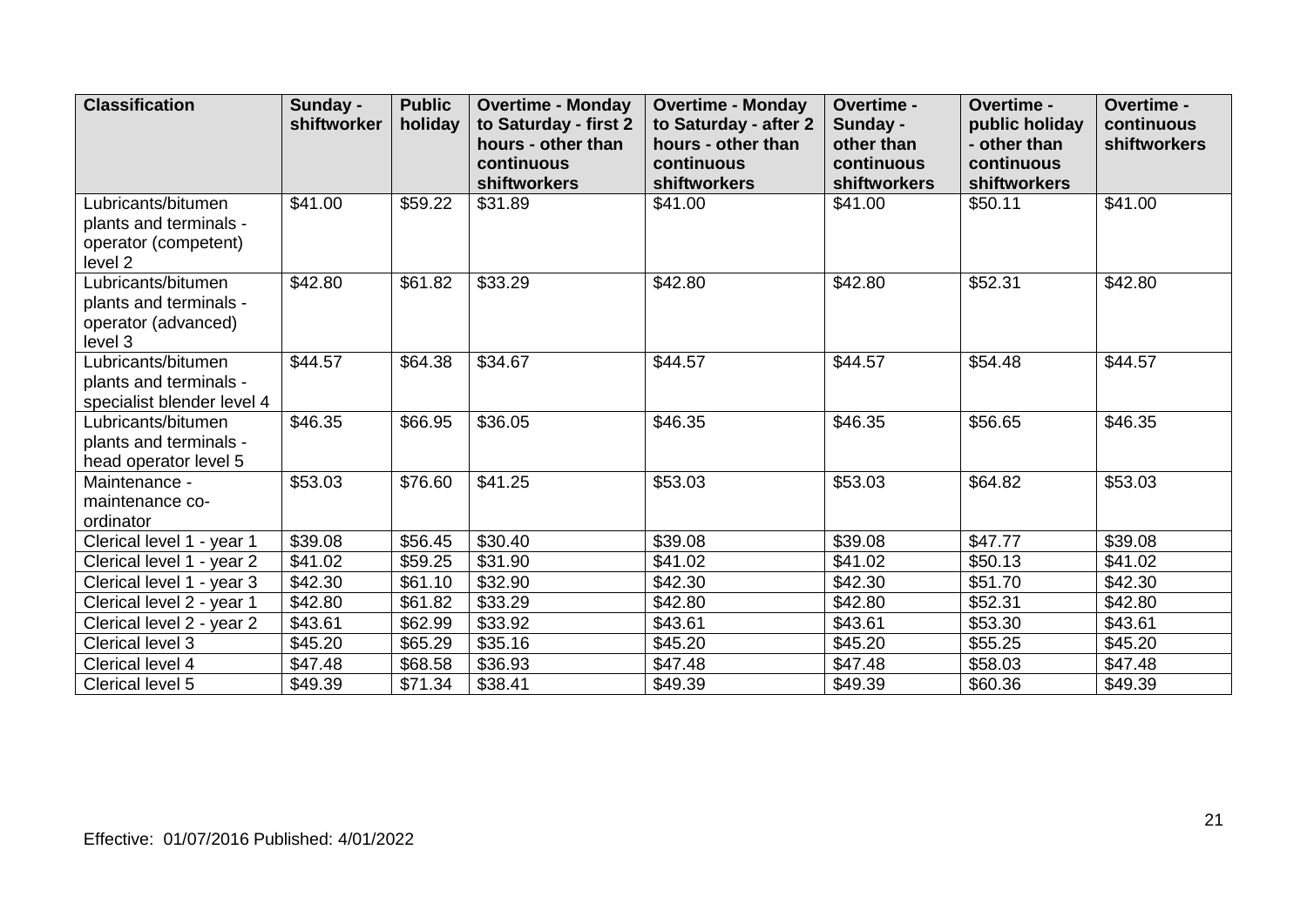| <b>Classification</b>                                                                      | Sunday -<br>shiftworker | <b>Public</b><br>holiday | <b>Overtime - Monday</b><br>to Saturday - first 2<br>hours - other than<br>continuous<br><b>shiftworkers</b> | <b>Overtime - Monday</b><br>to Saturday - after 2<br>hours - other than<br>continuous<br><b>shiftworkers</b> | Overtime -<br>Sunday -<br>other than<br>continuous<br>shiftworkers | Overtime -<br>public holiday<br>- other than<br>continuous<br><b>shiftworkers</b> | Overtime -<br>continuous<br>shiftworkers |
|--------------------------------------------------------------------------------------------|-------------------------|--------------------------|--------------------------------------------------------------------------------------------------------------|--------------------------------------------------------------------------------------------------------------|--------------------------------------------------------------------|-----------------------------------------------------------------------------------|------------------------------------------|
| Lubricants/bitumen<br>plants and terminals -<br>operator (competent)<br>level <sub>2</sub> | \$41.00                 | \$59.22                  | \$31.89                                                                                                      | \$41.00                                                                                                      | \$41.00                                                            | \$50.11                                                                           | \$41.00                                  |
| Lubricants/bitumen<br>plants and terminals -<br>operator (advanced)<br>level 3             | \$42.80                 | \$61.82                  | \$33.29                                                                                                      | \$42.80                                                                                                      | \$42.80                                                            | \$52.31                                                                           | \$42.80                                  |
| Lubricants/bitumen<br>plants and terminals -<br>specialist blender level 4                 | \$44.57                 | \$64.38                  | \$34.67                                                                                                      | \$44.57                                                                                                      | \$44.57                                                            | \$54.48                                                                           | \$44.57                                  |
| Lubricants/bitumen<br>plants and terminals -<br>head operator level 5                      | \$46.35                 | \$66.95                  | \$36.05                                                                                                      | \$46.35                                                                                                      | \$46.35                                                            | \$56.65                                                                           | \$46.35                                  |
| Maintenance -<br>maintenance co-<br>ordinator                                              | \$53.03                 | \$76.60                  | \$41.25                                                                                                      | \$53.03                                                                                                      | \$53.03                                                            | \$64.82                                                                           | \$53.03                                  |
| Clerical level 1 - year 1                                                                  | \$39.08                 | \$56.45                  | \$30.40                                                                                                      | \$39.08                                                                                                      | \$39.08                                                            | \$47.77                                                                           | \$39.08                                  |
| Clerical level 1 - year 2                                                                  | \$41.02                 | \$59.25                  | \$31.90                                                                                                      | \$41.02                                                                                                      | \$41.02                                                            | \$50.13                                                                           | \$41.02                                  |
| Clerical level 1 - year 3                                                                  | \$42.30                 | \$61.10                  | \$32.90                                                                                                      | \$42.30                                                                                                      | \$42.30                                                            | \$51.70                                                                           | \$42.30                                  |
| Clerical level 2 - year 1                                                                  | \$42.80                 | \$61.82                  | \$33.29                                                                                                      | \$42.80                                                                                                      | \$42.80                                                            | \$52.31                                                                           | \$42.80                                  |
| Clerical level 2 - year 2                                                                  | \$43.61                 | \$62.99                  | \$33.92                                                                                                      | \$43.61                                                                                                      | \$43.61                                                            | \$53.30                                                                           | \$43.61                                  |
| Clerical level 3                                                                           | \$45.20                 | \$65.29                  | \$35.16                                                                                                      | \$45.20                                                                                                      | \$45.20                                                            | \$55.25                                                                           | \$45.20                                  |
| Clerical level 4                                                                           | \$47.48                 | \$68.58                  | \$36.93                                                                                                      | \$47.48                                                                                                      | \$47.48                                                            | \$58.03                                                                           | \$47.48                                  |
| Clerical level 5                                                                           | \$49.39                 | \$71.34                  | \$38.41                                                                                                      | \$49.39                                                                                                      | \$49.39                                                            | \$60.36                                                                           | \$49.39                                  |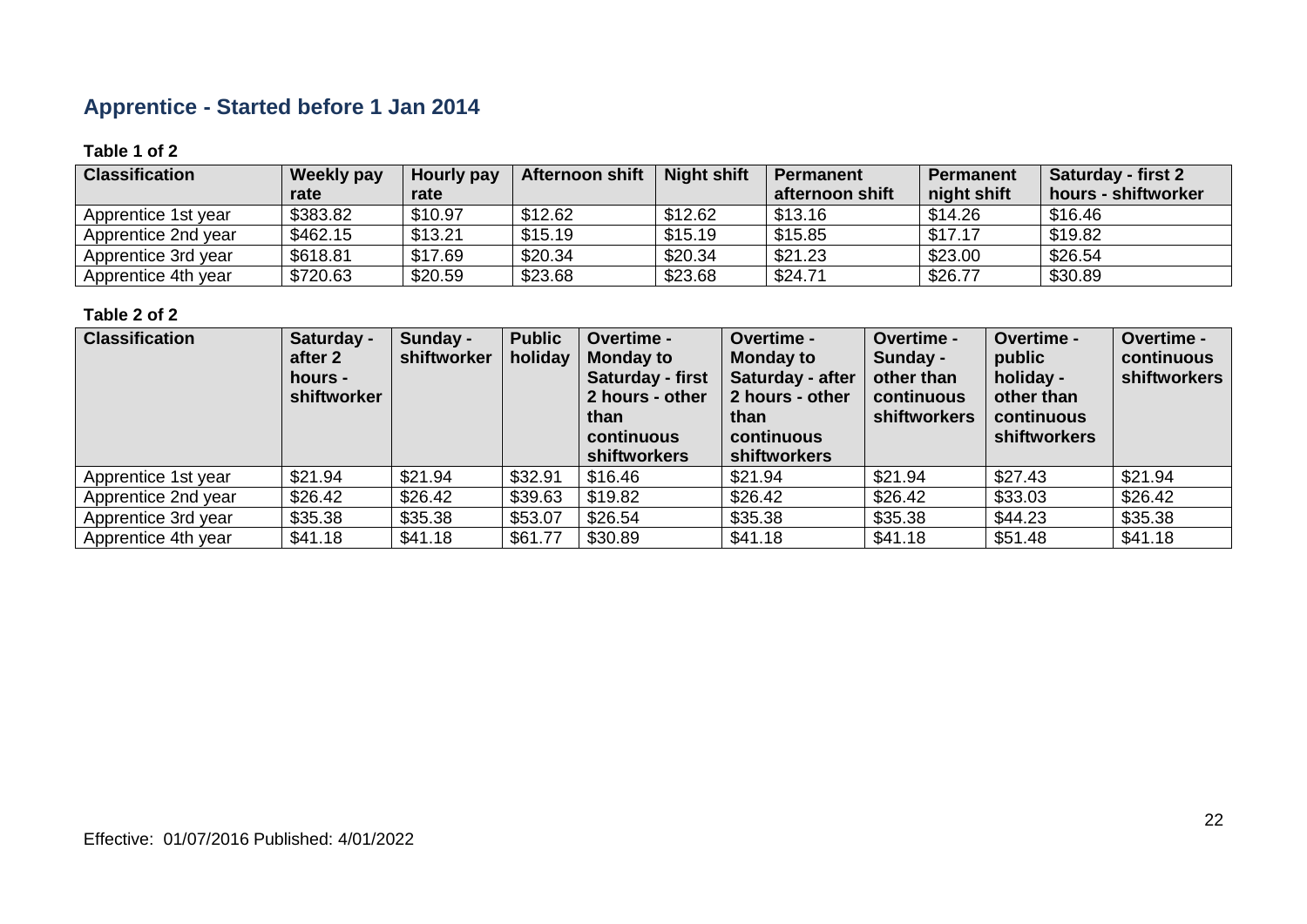# **Apprentice - Started before 1 Jan 2014**

#### **Table 1 of 2**

| <b>Classification</b> | <b>Weekly pay</b><br>rate | Hourly pay<br>rate | <b>Afternoon shift</b> | <b>Night shift</b> | <b>Permanent</b><br>afternoon shift | <b>Permanent</b><br>night shift | Saturday - first 2<br>hours - shiftworker |
|-----------------------|---------------------------|--------------------|------------------------|--------------------|-------------------------------------|---------------------------------|-------------------------------------------|
| Apprentice 1st year   | \$383.82                  | \$10.97            | \$12.62                | \$12.62            | \$13.16                             | \$14.26                         | \$16.46                                   |
| Apprentice 2nd year   | \$462.15                  | \$13.21            | \$15.19                | \$15.19            | \$15.85                             | \$17.17                         | \$19.82                                   |
| Apprentice 3rd year   | \$618.81                  | \$17.69            | \$20.34                | \$20.34            | \$21.23                             | \$23.00                         | \$26.54                                   |
| Apprentice 4th year   | \$720.63                  | \$20.59            | \$23.68                | \$23.68            | \$24.71                             | \$26.77                         | \$30.89                                   |

| <b>Classification</b> | Saturday -<br>after 2<br>hours -<br>shiftworker | Sunday -<br>shiftworker | <b>Public</b><br>holiday | Overtime -<br><b>Monday to</b><br>Saturday - first<br>2 hours - other<br>than<br>continuous<br><b>shiftworkers</b> | Overtime -<br><b>Monday to</b><br>Saturday - after<br>2 hours - other<br>than<br>continuous<br><b>shiftworkers</b> | Overtime -<br>Sunday -<br>other than<br>continuous<br>shiftworkers | Overtime -<br>public<br>holiday -<br>other than<br>continuous<br><b>shiftworkers</b> | Overtime -<br>continuous<br><b>shiftworkers</b> |
|-----------------------|-------------------------------------------------|-------------------------|--------------------------|--------------------------------------------------------------------------------------------------------------------|--------------------------------------------------------------------------------------------------------------------|--------------------------------------------------------------------|--------------------------------------------------------------------------------------|-------------------------------------------------|
| Apprentice 1st year   | \$21.94                                         | \$21.94                 | \$32.91                  | \$16.46                                                                                                            | \$21.94                                                                                                            | \$21.94                                                            | \$27.43                                                                              | \$21.94                                         |
| Apprentice 2nd year   | \$26.42                                         | \$26.42                 | \$39.63                  | \$19.82                                                                                                            | \$26.42                                                                                                            | \$26.42                                                            | \$33.03                                                                              | \$26.42                                         |
| Apprentice 3rd year   | \$35.38                                         | \$35.38                 | \$53.07                  | \$26.54                                                                                                            | \$35.38                                                                                                            | \$35.38                                                            | \$44.23                                                                              | \$35.38                                         |
| Apprentice 4th year   | \$41.18                                         | \$41.18                 | \$61.77                  | \$30.89                                                                                                            | \$41.18                                                                                                            | \$41.18                                                            | \$51.48                                                                              | \$41.18                                         |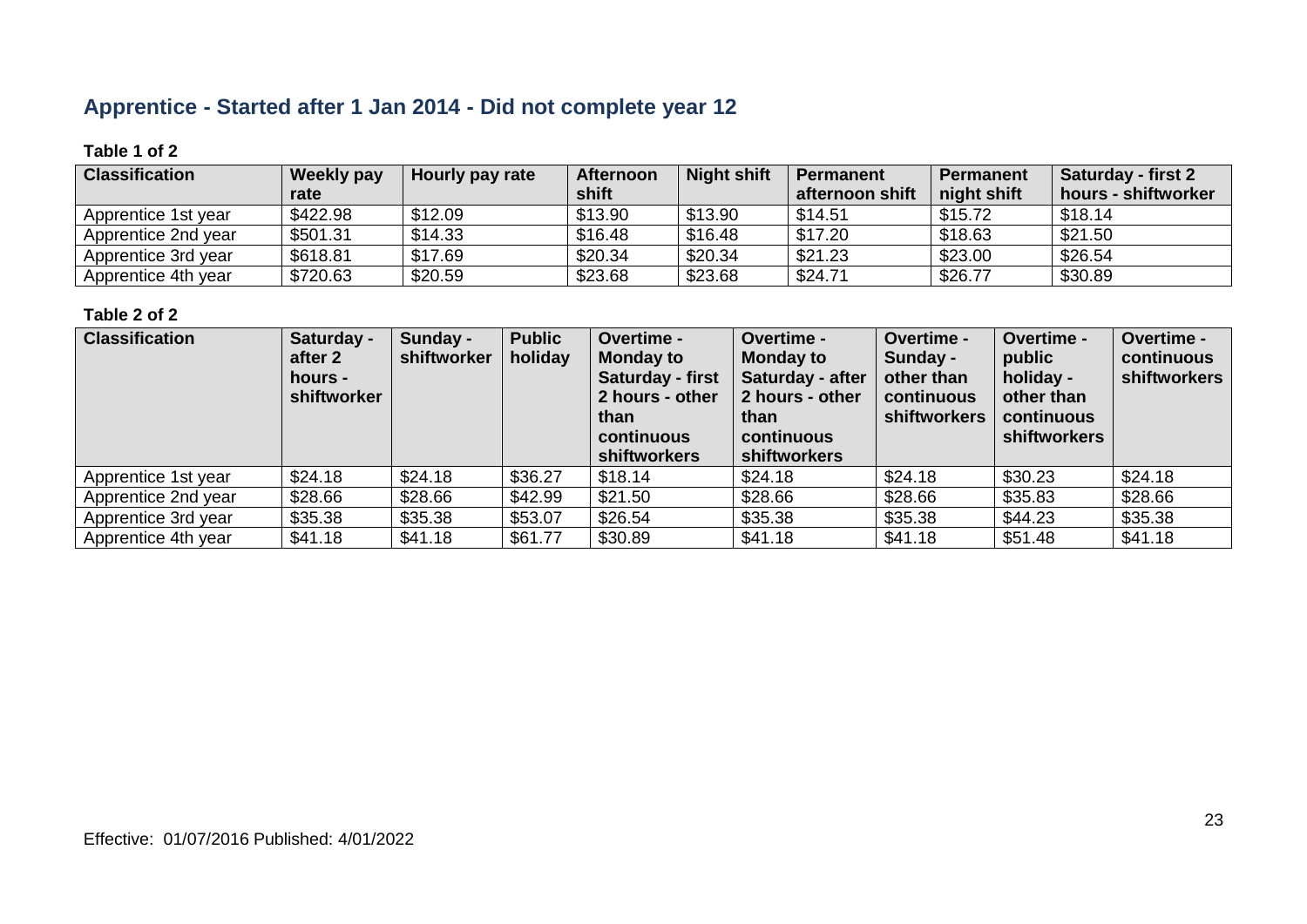# **Apprentice - Started after 1 Jan 2014 - Did not complete year 12**

#### **Table 1 of 2**

| <b>Classification</b> | <b>Weekly pay</b><br>rate | Hourly pay rate | Afternoon<br>shift | <b>Night shift</b> | <b>Permanent</b><br>afternoon shift | <b>Permanent</b><br>night shift | <b>Saturday - first 2</b><br>hours - shiftworker |
|-----------------------|---------------------------|-----------------|--------------------|--------------------|-------------------------------------|---------------------------------|--------------------------------------------------|
| Apprentice 1st year   | \$422.98                  | \$12.09         | \$13.90            | \$13.90            | \$14.51                             | \$15.72                         | \$18.14                                          |
| Apprentice 2nd year   | \$501.31                  | \$14.33         | \$16.48            | \$16.48            | \$17.20                             | \$18.63                         | \$21.50                                          |
| Apprentice 3rd year   | \$618.81                  | \$17.69         | \$20.34            | \$20.34            | \$21.23                             | \$23.00                         | \$26.54                                          |
| Apprentice 4th year   | \$720.63                  | \$20.59         | \$23.68            | \$23.68            | \$24.71                             | \$26.77                         | \$30.89                                          |

| <b>Classification</b> | Saturday -<br>after 2<br>hours -<br>shiftworker | Sunday -<br>shiftworker | <b>Public</b><br>holiday | Overtime -<br><b>Monday to</b><br>Saturday - first<br>2 hours - other<br>than<br>continuous<br><b>shiftworkers</b> | Overtime -<br><b>Monday to</b><br>Saturday - after<br>2 hours - other<br>than<br><b>continuous</b><br>shiftworkers | Overtime -<br>Sunday -<br>other than<br>continuous<br><b>shiftworkers</b> | <b>Overtime -</b><br>public<br>holiday -<br>other than<br>continuous<br><b>shiftworkers</b> | <b>Overtime -</b><br>continuous<br><b>shiftworkers</b> |
|-----------------------|-------------------------------------------------|-------------------------|--------------------------|--------------------------------------------------------------------------------------------------------------------|--------------------------------------------------------------------------------------------------------------------|---------------------------------------------------------------------------|---------------------------------------------------------------------------------------------|--------------------------------------------------------|
| Apprentice 1st year   | \$24.18                                         | \$24.18                 | \$36.27                  | \$18.14                                                                                                            | \$24.18                                                                                                            | \$24.18                                                                   | \$30.23                                                                                     | \$24.18                                                |
| Apprentice 2nd year   | \$28.66                                         | \$28.66                 | \$42.99                  | \$21.50                                                                                                            | \$28.66                                                                                                            | \$28.66                                                                   | \$35.83                                                                                     | \$28.66                                                |
| Apprentice 3rd year   | \$35.38                                         | \$35.38                 | \$53.07                  | \$26.54                                                                                                            | \$35.38                                                                                                            | \$35.38                                                                   | \$44.23                                                                                     | \$35.38                                                |
| Apprentice 4th year   | \$41.18                                         | \$41.18                 | \$61.77                  | \$30.89                                                                                                            | \$41.18                                                                                                            | \$41.18                                                                   | \$51.48                                                                                     | \$41.18                                                |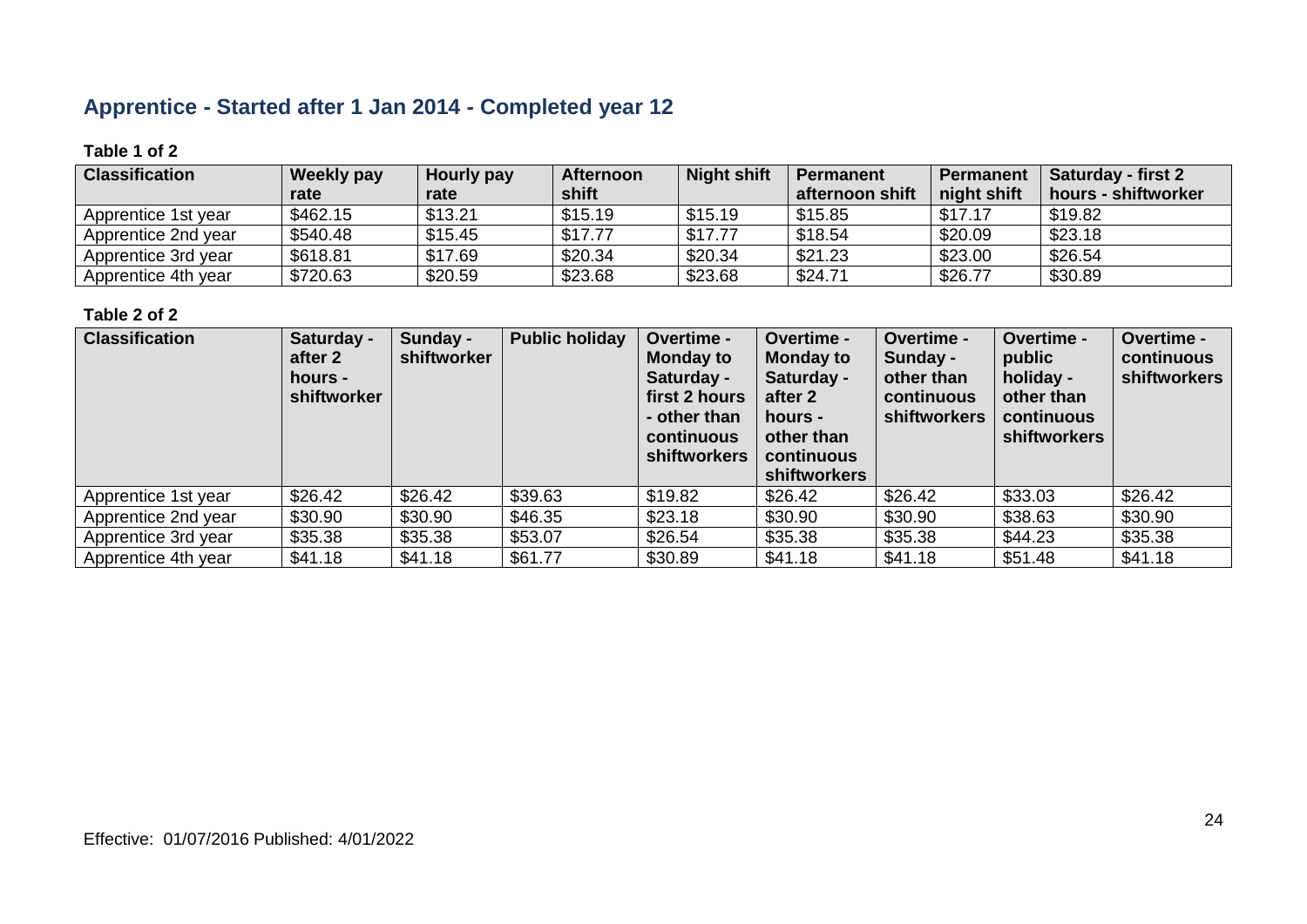# **Apprentice - Started after 1 Jan 2014 - Completed year 12**

#### **Table 1 of 2**

| <b>Classification</b> | <b>Weekly pay</b> | <b>Hourly pay</b> | <b>Afternoon</b> | <b>Night shift</b> | <b>Permanent</b> | <b>Permanent</b> | <b>Saturday - first 2</b> |
|-----------------------|-------------------|-------------------|------------------|--------------------|------------------|------------------|---------------------------|
|                       | rate              | rate              | shift            |                    | afternoon shift  | night shift      | hours - shiftworker       |
| Apprentice 1st year   | \$462.15          | \$13.21           | \$15.19          | \$15.19            | \$15.85          | \$17.17          | \$19.82                   |
| Apprentice 2nd year   | \$540.48          | \$15.45           | \$17.77          | \$17.77            | \$18.54          | \$20.09          | \$23.18                   |
| Apprentice 3rd year   | \$618.81          | \$17.69           | \$20.34          | \$20.34            | \$21.23          | \$23.00          | \$26.54                   |
| Apprentice 4th year   | \$720.63          | \$20.59           | \$23.68          | \$23.68            | \$24.71          | \$26.77          | \$30.89                   |

| <b>Classification</b> | Saturday -<br>after 2<br>hours -<br>shiftworker | Sunday -<br>shiftworker | <b>Public holiday</b> | Overtime -<br><b>Monday to</b><br>Saturday -<br>first 2 hours<br>- other than<br>continuous<br><b>shiftworkers</b> | Overtime -<br><b>Monday to</b><br>Saturday -<br>after 2<br>hours -<br>other than<br>continuous<br><b>shiftworkers</b> | Overtime -<br>Sunday -<br>other than<br>continuous<br><b>shiftworkers</b> | Overtime -<br>public<br>holiday -<br>other than<br>continuous<br>shiftworkers | Overtime -<br>continuous<br>shiftworkers |
|-----------------------|-------------------------------------------------|-------------------------|-----------------------|--------------------------------------------------------------------------------------------------------------------|-----------------------------------------------------------------------------------------------------------------------|---------------------------------------------------------------------------|-------------------------------------------------------------------------------|------------------------------------------|
| Apprentice 1st year   | \$26.42                                         | \$26.42                 | \$39.63               | \$19.82                                                                                                            | \$26.42                                                                                                               | \$26.42                                                                   | \$33.03                                                                       | \$26.42                                  |
| Apprentice 2nd year   | \$30.90                                         | \$30.90                 | \$46.35               | \$23.18                                                                                                            | \$30.90                                                                                                               | \$30.90                                                                   | \$38.63                                                                       | \$30.90                                  |
| Apprentice 3rd year   | \$35.38                                         | \$35.38                 | \$53.07               | \$26.54                                                                                                            | \$35.38                                                                                                               | \$35.38                                                                   | \$44.23                                                                       | \$35.38                                  |
| Apprentice 4th year   | \$41.18                                         | \$41.18                 | \$61.77               | \$30.89                                                                                                            | \$41.18                                                                                                               | \$41.18                                                                   | \$51.48                                                                       | \$41.18                                  |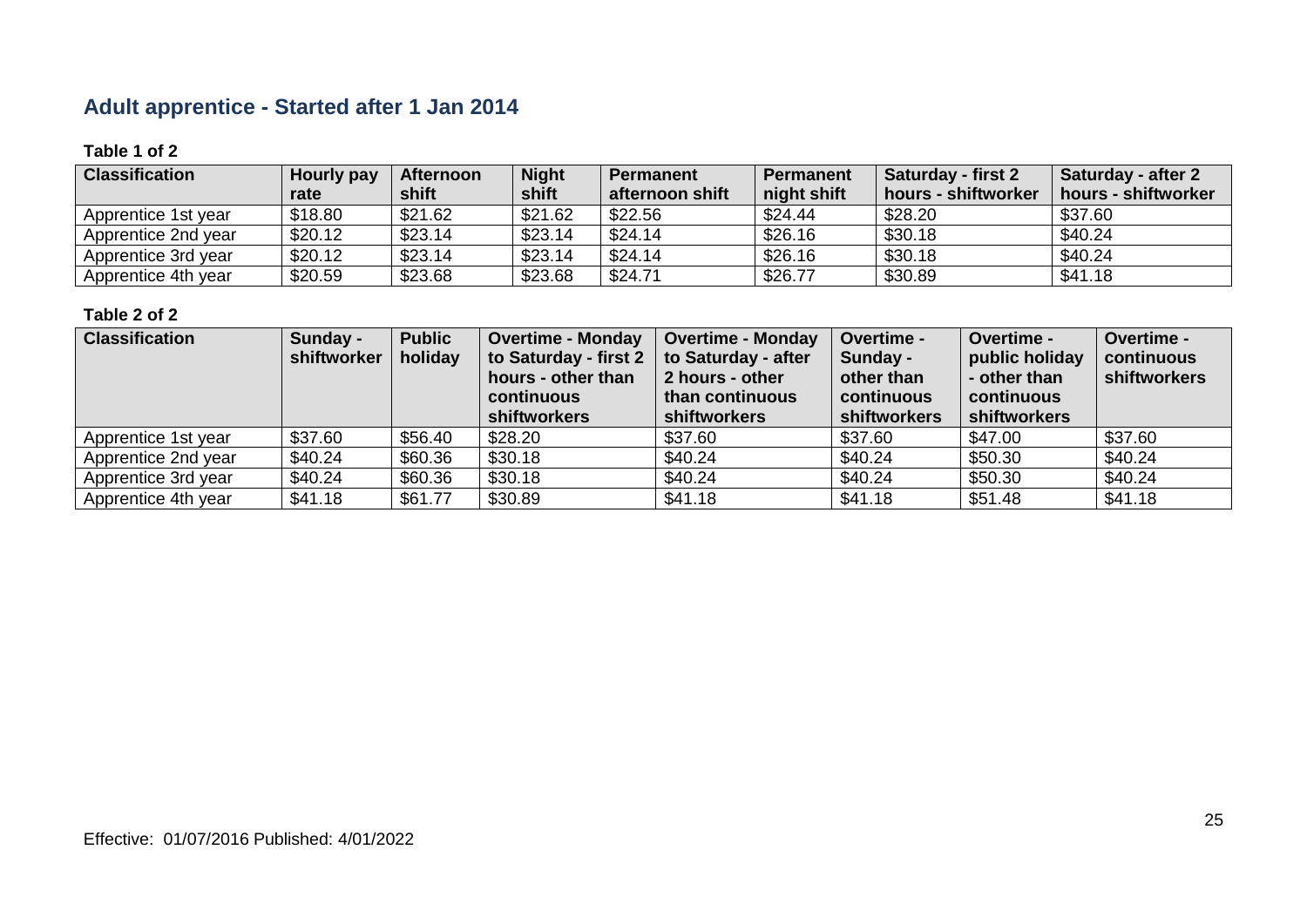# **Adult apprentice - Started after 1 Jan 2014**

#### **Table 1 of 2**

| <b>Classification</b> | Hourly pay<br>rate | <b>Afternoon</b><br>shift | <b>Night</b><br>shift | <b>Permanent</b><br>afternoon shift | <b>Permanent</b><br>night shift | <b>Saturday - first 2</b><br>hours - shiftworker | Saturday - after 2<br>hours - shiftworker |
|-----------------------|--------------------|---------------------------|-----------------------|-------------------------------------|---------------------------------|--------------------------------------------------|-------------------------------------------|
| Apprentice 1st year   | \$18.80            | \$21.62                   | \$21.62               | \$22.56                             | \$24.44                         | \$28.20                                          | \$37.60                                   |
| Apprentice 2nd year   | \$20.12            | \$23.14                   | \$23.14               | \$24.14                             | \$26.16                         | \$30.18                                          | \$40.24                                   |
| Apprentice 3rd year   | \$20.12            | \$23.14                   | \$23.14               | \$24.14                             | \$26.16                         | \$30.18                                          | \$40.24                                   |
| Apprentice 4th year   | \$20.59            | \$23.68                   | \$23.68               | \$24.71                             | \$26.77                         | \$30.89                                          | \$41.18                                   |

| <b>Classification</b> | Sunday -<br>shiftworker | <b>Public</b><br>holiday | <b>Overtime - Monday</b><br>to Saturday - first 2<br>hours - other than<br>continuous<br><b>shiftworkers</b> | <b>Overtime - Monday</b><br>to Saturday - after<br>2 hours - other<br>than continuous<br>shiftworkers | Overtime -<br>Sunday -<br>other than<br>continuous<br>shiftworkers | <b>Overtime -</b><br>public holiday<br>- other than<br>continuous<br>shiftworkers | Overtime -<br>continuous<br>shiftworkers |
|-----------------------|-------------------------|--------------------------|--------------------------------------------------------------------------------------------------------------|-------------------------------------------------------------------------------------------------------|--------------------------------------------------------------------|-----------------------------------------------------------------------------------|------------------------------------------|
| Apprentice 1st year   | \$37.60                 | \$56.40                  | \$28.20                                                                                                      | \$37.60                                                                                               | \$37.60                                                            | \$47.00                                                                           | \$37.60                                  |
| Apprentice 2nd year   | \$40.24                 | \$60.36                  | \$30.18                                                                                                      | \$40.24                                                                                               | \$40.24                                                            | \$50.30                                                                           | \$40.24                                  |
| Apprentice 3rd year   | \$40.24                 | \$60.36                  | \$30.18                                                                                                      | \$40.24                                                                                               | \$40.24                                                            | \$50.30                                                                           | \$40.24                                  |
| Apprentice 4th year   | \$41.18                 | \$61.77                  | \$30.89                                                                                                      | \$41.18                                                                                               | \$41.18                                                            | \$51.48                                                                           | \$41.18                                  |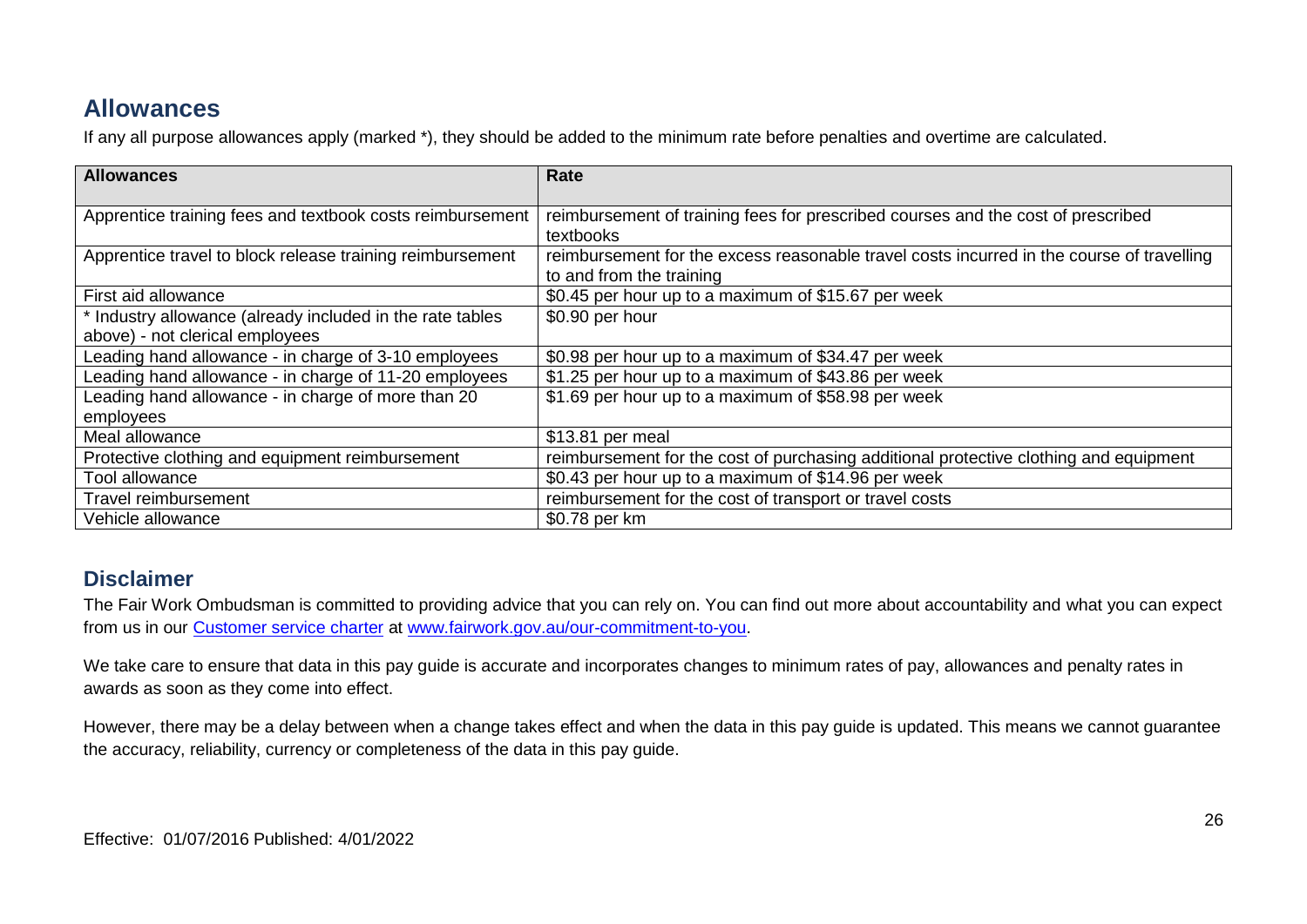# **Allowances**

If any all purpose allowances apply (marked \*), they should be added to the minimum rate before penalties and overtime are calculated.

| <b>Allowances</b>                                         | Rate                                                                                                                  |
|-----------------------------------------------------------|-----------------------------------------------------------------------------------------------------------------------|
| Apprentice training fees and textbook costs reimbursement | reimbursement of training fees for prescribed courses and the cost of prescribed<br>textbooks                         |
| Apprentice travel to block release training reimbursement | reimbursement for the excess reasonable travel costs incurred in the course of travelling<br>to and from the training |
| First aid allowance                                       | \$0.45 per hour up to a maximum of \$15.67 per week                                                                   |
| * Industry allowance (already included in the rate tables | \$0.90 per hour                                                                                                       |
| above) - not clerical employees                           |                                                                                                                       |
| Leading hand allowance - in charge of 3-10 employees      | \$0.98 per hour up to a maximum of \$34.47 per week                                                                   |
| Leading hand allowance - in charge of 11-20 employees     | \$1.25 per hour up to a maximum of \$43.86 per week                                                                   |
| Leading hand allowance - in charge of more than 20        | \$1.69 per hour up to a maximum of \$58.98 per week                                                                   |
| employees                                                 |                                                                                                                       |
| Meal allowance                                            | \$13.81 per meal                                                                                                      |
| Protective clothing and equipment reimbursement           | reimbursement for the cost of purchasing additional protective clothing and equipment                                 |
| Tool allowance                                            | \$0.43 per hour up to a maximum of \$14.96 per week                                                                   |
| Travel reimbursement                                      | reimbursement for the cost of transport or travel costs                                                               |
| Vehicle allowance                                         | \$0.78 per km                                                                                                         |

### **Disclaimer**

The Fair Work Ombudsman is committed to providing advice that you can rely on. You can find out more about accountability and what you can expect from us in our [Customer service charter](https://www.fairwork.gov.au/about-us/our-role-and-purpose/our-priorities/our-commitment-to-you#customer-service-charter) at [www.fairwork.gov.au/our-commitment-to-you.](http://www.fairwork.gov.au/our-commitment-to-you)

We take care to ensure that data in this pay guide is accurate and incorporates changes to minimum rates of pay, allowances and penalty rates in awards as soon as they come into effect.

However, there may be a delay between when a change takes effect and when the data in this pay guide is updated. This means we cannot guarantee the accuracy, reliability, currency or completeness of the data in this pay guide.